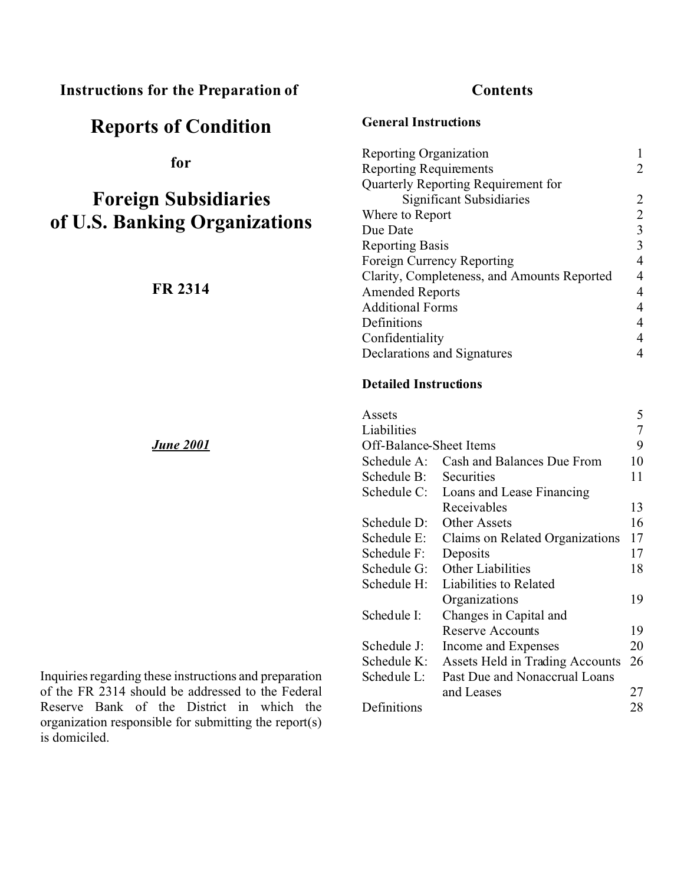# **Instructions for the Preparation of**

# **Reports of Condition**

**for**

# **Foreign Subsidiaries of U.S. Banking Organizations**

**FR 2314**

*June 2001*

Inquiries regarding these instructions and preparation of the FR 2314 should be addressed to the Federal Reserve Bank of the District in which the organization responsible for submitting the report(s) is domiciled.

# **Contents**

**General Instructions**

| <b>Reporting Organization</b>               |   |
|---------------------------------------------|---|
| <b>Reporting Requirements</b>               |   |
| Quarterly Reporting Requirement for         |   |
| Significant Subsidiaries                    | 2 |
| Where to Report                             |   |
| Due Date                                    |   |
| <b>Reporting Basis</b>                      | 3 |
| Foreign Currency Reporting                  |   |
| Clarity, Completeness, and Amounts Reported |   |
| <b>Amended Reports</b>                      | 4 |
| <b>Additional Forms</b>                     |   |
| Definitions                                 |   |
| Confidentiality                             |   |
| Declarations and Signatures                 |   |

#### **Detailed Instructions**

| Assets                  |                                 | 5  |
|-------------------------|---------------------------------|----|
| Liabilities             |                                 |    |
| Off-Balance-Sheet Items |                                 | 9  |
| Schedule A:             | Cash and Balances Due From      | 10 |
| Schedule B:             | Securities                      | 11 |
| Schedule C:             | Loans and Lease Financing       |    |
|                         | Receivables                     | 13 |
| Schedule D:             | <b>Other Assets</b>             | 16 |
| Schedule E:             | Claims on Related Organizations | 17 |
| Schedule F:             | Deposits                        | 17 |
| Schedule G:             | <b>Other Liabilities</b>        | 18 |
| Schedule H:             | Liabilities to Related          |    |
|                         | Organizations                   | 19 |
| Schedule I:             | Changes in Capital and          |    |
|                         | <b>Reserve Accounts</b>         | 19 |
| Schedule J:             | Income and Expenses             | 20 |
| Schedule K:             | Assets Held in Trading Accounts | 26 |
| Schedule L:             | Past Due and Nonaccrual Loans   |    |
|                         | and Leases                      | 27 |
| Definitions             |                                 | 28 |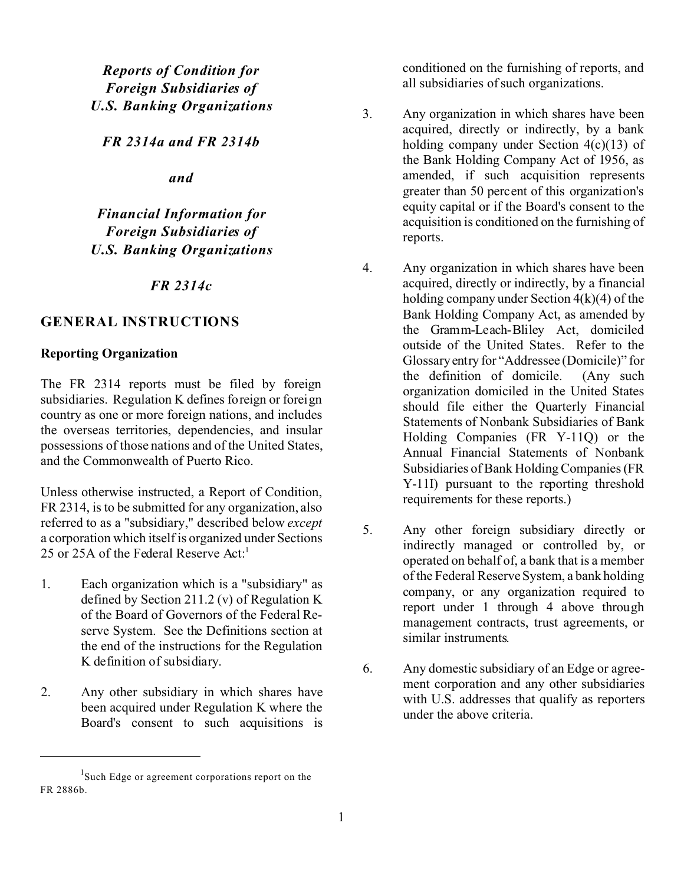*Reports of Condition for Foreign Subsidiaries of U.S. Banking Organizations*

*FR 2314a and FR 2314b*

*and*

*Financial Information for Foreign Subsidiaries of U.S. Banking Organizations*

#### *FR 2314c*

# **GENERAL INSTRUCTIONS**

#### **Reporting Organization**

The FR 2314 reports must be filed by foreign subsidiaries. Regulation K defines foreign or foreign country as one or more foreign nations, and includes the overseas territories, dependencies, and insular possessions of those nations and of the United States, and the Commonwealth of Puerto Rico.

Unless otherwise instructed, a Report of Condition, FR 2314, is to be submitted for any organization, also referred to as a "subsidiary," described below *except* a corporation which itself is organized under Sections 25 or 25A of the Federal Reserve Act:<sup>1</sup>

- 1. Each organization which is a "subsidiary" as defined by Section 211.2 (v) of Regulation K of the Board of Governors of the Federal Reserve System. See the Definitions section at the end of the instructions for the Regulation K definition of subsidiary.
- 2. Any other subsidiary in which shares have been acquired under Regulation K where the Board's consent to such acquisitions is

conditioned on the furnishing of reports, and all subsidiaries of such organizations.

- 3. Any organization in which shares have been acquired, directly or indirectly, by a bank holding company under Section 4(c)(13) of the Bank Holding Company Act of 1956, as amended, if such acquisition represents greater than 50 percent of this organization's equity capital or if the Board's consent to the acquisition is conditioned on the furnishing of reports.
- 4. Any organization in which shares have been acquired, directly or indirectly, by a financial holding company under Section 4(k)(4) of the Bank Holding Company Act, as amended by the Gramm-Leach-Bliley Act, domiciled outside of the United States. Refer to the Glossary entry for "Addressee (Domicile)" for the definition of domicile. (Any such organization domiciled in the United States should file either the Quarterly Financial Statements of Nonbank Subsidiaries of Bank Holding Companies (FR Y-11Q) or the Annual Financial Statements of Nonbank Subsidiaries of Bank Holding Companies (FR Y-11I) pursuant to the reporting threshold requirements for these reports.)
- 5. Any other foreign subsidiary directly or indirectly managed or controlled by, or operated on behalf of, a bank that is a member of the Federal Reserve System, a bank holding company, or any organization required to report under 1 through 4 above through management contracts, trust agreements, or similar instruments.
- 6. Any domestic subsidiary of an Edge or agreement corporation and any other subsidiaries with U.S. addresses that qualify as reporters under the above criteria.

<sup>&</sup>lt;sup>1</sup>Such Edge or agreement corporations report on the FR 2886b.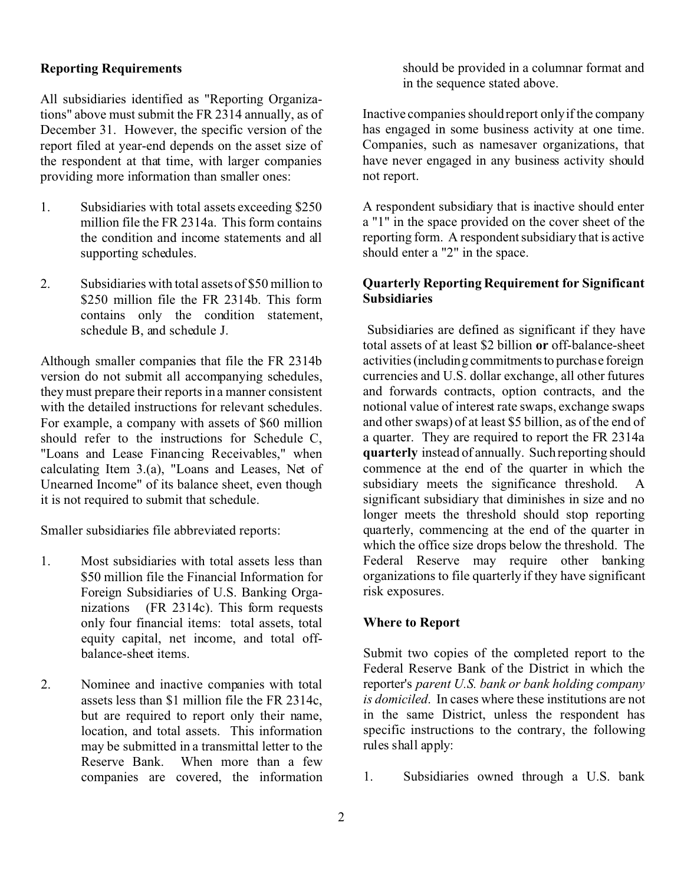#### **Reporting Requirements**

All subsidiaries identified as "Reporting Organizations" above must submit the FR 2314 annually, as of December 31. However, the specific version of the report filed at year-end depends on the asset size of the respondent at that time, with larger companies providing more information than smaller ones:

- 1. Subsidiaries with total assets exceeding \$250 million file the FR 2314a. This form contains the condition and income statements and all supporting schedules.
- 2. Subsidiaries with total assets of \$50 million to \$250 million file the FR 2314b. This form contains only the condition statement, schedule B, and schedule J.

Although smaller companies that file the FR 2314b version do not submit all accompanying schedules, they must prepare their reports in a manner consistent with the detailed instructions for relevant schedules. For example, a company with assets of \$60 million should refer to the instructions for Schedule C, "Loans and Lease Financing Receivables," when calculating Item 3.(a), "Loans and Leases, Net of Unearned Income" of its balance sheet, even though it is not required to submit that schedule.

Smaller subsidiaries file abbreviated reports:

- 1. Most subsidiaries with total assets less than \$50 million file the Financial Information for Foreign Subsidiaries of U.S. Banking Organizations (FR 2314c). This form requests only four financial items: total assets, total equity capital, net income, and total offbalance-sheet items.
- 2. Nominee and inactive companies with total assets less than \$1 million file the FR 2314c, but are required to report only their name, location, and total assets. This information may be submitted in a transmittal letter to the Reserve Bank. When more than a few companies are covered, the information

should be provided in a columnar format and in the sequence stated above.

Inactive companies should report only if the company has engaged in some business activity at one time. Companies, such as namesaver organizations, that have never engaged in any business activity should not report.

A respondent subsidiary that is inactive should enter a "1" in the space provided on the cover sheet of the reporting form. A respondent subsidiary that is active should enter a "2" in the space.

# **Quarterly Reporting Requirement for Significant Subsidiaries**

 Subsidiaries are defined as significant if they have total assets of at least \$2 billion **or** off-balance-sheet activities (including commitments to purchase foreign currencies and U.S. dollar exchange, all other futures and forwards contracts, option contracts, and the notional value of interest rate swaps, exchange swaps and other swaps) of at least \$5 billion, as of the end of a quarter. They are required to report the FR 2314a **quarterly** instead of annually. Such reporting should commence at the end of the quarter in which the subsidiary meets the significance threshold. A significant subsidiary that diminishes in size and no longer meets the threshold should stop reporting quarterly, commencing at the end of the quarter in which the office size drops below the threshold. The Federal Reserve may require other banking organizations to file quarterly if they have significant risk exposures.

# **Where to Report**

Submit two copies of the completed report to the Federal Reserve Bank of the District in which the reporter's *parent U.S. bank or bank holding company is domiciled*. In cases where these institutions are not in the same District, unless the respondent has specific instructions to the contrary, the following rules shall apply:

1. Subsidiaries owned through a U.S. bank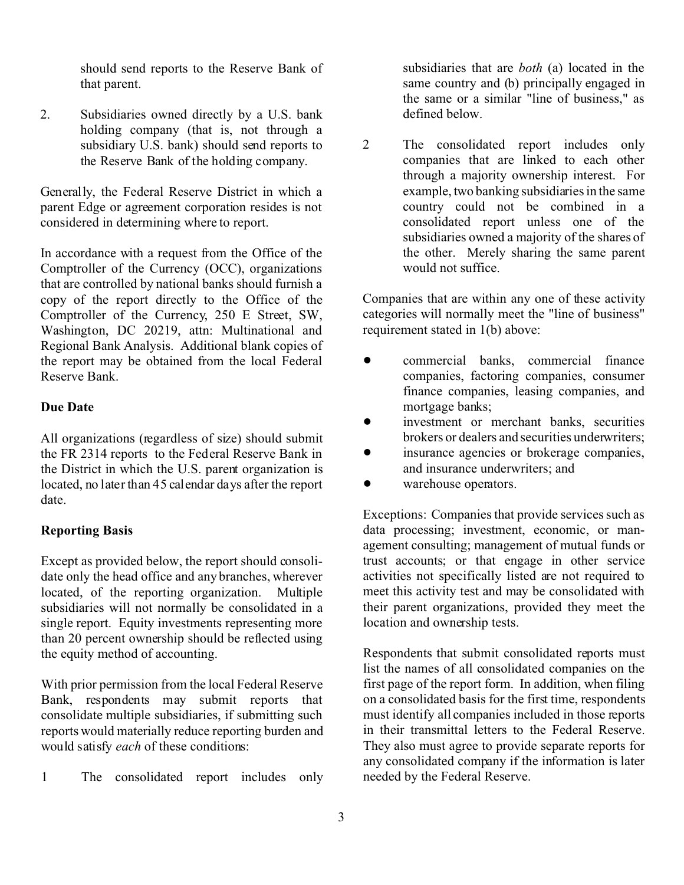should send reports to the Reserve Bank of that parent.

2. Subsidiaries owned directly by a U.S. bank holding company (that is, not through a subsidiary U.S. bank) should send reports to the Reserve Bank of the holding company.

Generally, the Federal Reserve District in which a parent Edge or agreement corporation resides is not considered in determining where to report.

In accordance with a request from the Office of the Comptroller of the Currency (OCC), organizations that are controlled by national banks should furnish a copy of the report directly to the Office of the Comptroller of the Currency, 250 E Street, SW, Washington, DC 20219, attn: Multinational and Regional Bank Analysis. Additional blank copies of the report may be obtained from the local Federal Reserve Bank.

#### **Due Date**

All organizations (regardless of size) should submit the FR 2314 reports to the Federal Reserve Bank in the District in which the U.S. parent organization is located, no later than 45 calendar days after the report date.

#### **Reporting Basis**

Except as provided below, the report should consolidate only the head office and any branches, wherever located, of the reporting organization. Multiple subsidiaries will not normally be consolidated in a single report. Equity investments representing more than 20 percent ownership should be reflected using the equity method of accounting.

With prior permission from the local Federal Reserve Bank, respondents may submit reports that consolidate multiple subsidiaries, if submitting such reports would materially reduce reporting burden and would satisfy *each* of these conditions:

1 The consolidated report includes only

subsidiaries that are *both* (a) located in the same country and (b) principally engaged in the same or a similar "line of business," as defined below.

2 The consolidated report includes only companies that are linked to each other through a majority ownership interest. For example, two banking subsidiaries in the same country could not be combined in a consolidated report unless one of the subsidiaries owned a majority of the shares of the other. Merely sharing the same parent would not suffice.

Companies that are within any one of these activity categories will normally meet the "line of business" requirement stated in 1(b) above:

- commercial banks, commercial finance companies, factoring companies, consumer finance companies, leasing companies, and mortgage banks;
- ! investment or merchant banks, securities brokers or dealers and securities underwriters;
- insurance agencies or brokerage companies, and insurance underwriters; and
- warehouse operators.

Exceptions: Companies that provide services such as data processing; investment, economic, or management consulting; management of mutual funds or trust accounts; or that engage in other service activities not specifically listed are not required to meet this activity test and may be consolidated with their parent organizations, provided they meet the location and ownership tests.

Respondents that submit consolidated reports must list the names of all consolidated companies on the first page of the report form. In addition, when filing on a consolidated basis for the first time, respondents must identify all companies included in those reports in their transmittal letters to the Federal Reserve. They also must agree to provide separate reports for any consolidated company if the information is later needed by the Federal Reserve.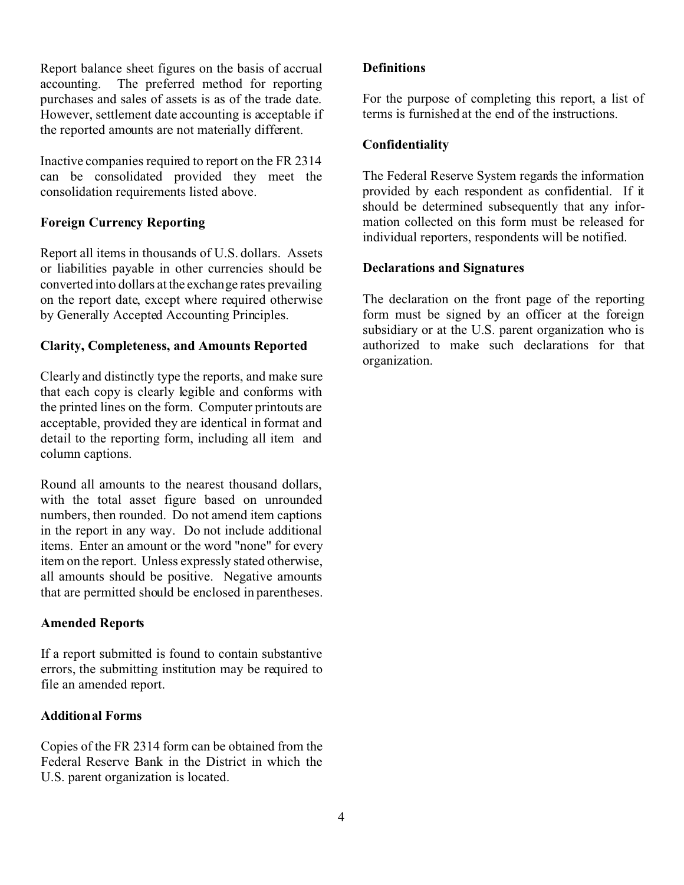Report balance sheet figures on the basis of accrual accounting. The preferred method for reporting purchases and sales of assets is as of the trade date. However, settlement date accounting is acceptable if the reported amounts are not materially different.

Inactive companies required to report on the FR 2314 can be consolidated provided they meet the consolidation requirements listed above.

## **Foreign Currency Reporting**

Report all items in thousands of U.S. dollars. Assets or liabilities payable in other currencies should be converted into dollars at the exchange rates prevailing on the report date, except where required otherwise by Generally Accepted Accounting Principles.

#### **Clarity, Completeness, and Amounts Reported**

Clearly and distinctly type the reports, and make sure that each copy is clearly legible and conforms with the printed lines on the form. Computer printouts are acceptable, provided they are identical in format and detail to the reporting form, including all item and column captions.

Round all amounts to the nearest thousand dollars, with the total asset figure based on unrounded numbers, then rounded. Do not amend item captions in the report in any way. Do not include additional items. Enter an amount or the word "none" for every item on the report. Unless expressly stated otherwise, all amounts should be positive. Negative amounts that are permitted should be enclosed in parentheses.

#### **Amended Reports**

If a report submitted is found to contain substantive errors, the submitting institution may be required to file an amended report.

#### **Additional Forms**

Copies of the FR 2314 form can be obtained from the Federal Reserve Bank in the District in which the U.S. parent organization is located.

#### **Definitions**

For the purpose of completing this report, a list of terms is furnished at the end of the instructions.

#### **Confidentiality**

The Federal Reserve System regards the information provided by each respondent as confidential. If it should be determined subsequently that any information collected on this form must be released for individual reporters, respondents will be notified.

## **Declarations and Signatures**

The declaration on the front page of the reporting form must be signed by an officer at the foreign subsidiary or at the U.S. parent organization who is authorized to make such declarations for that organization.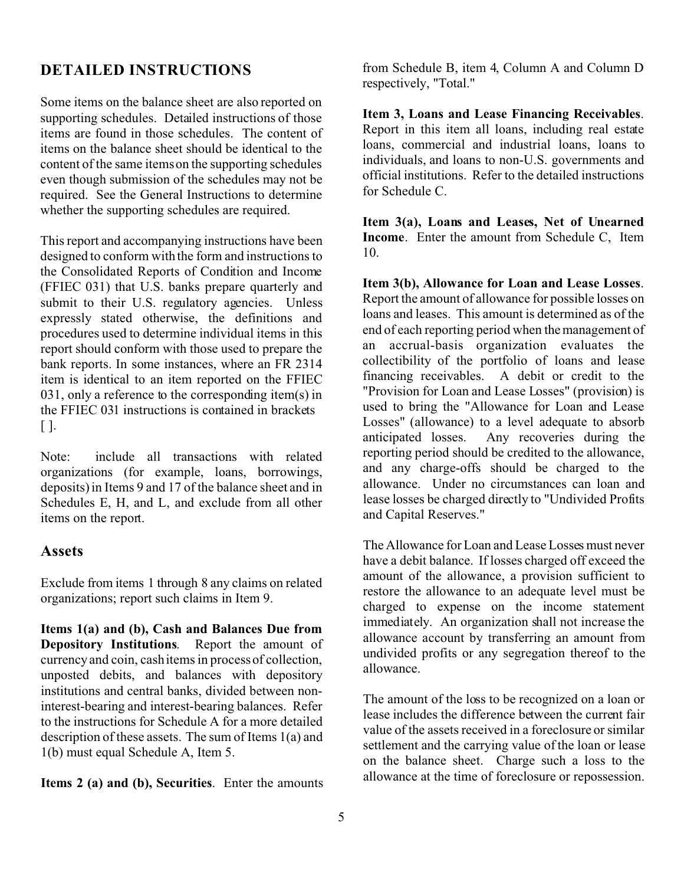# **DETAILED INSTRUCTIONS**

Some items on the balance sheet are also reported on supporting schedules. Detailed instructions of those items are found in those schedules. The content of items on the balance sheet should be identical to the content of the same items on the supporting schedules even though submission of the schedules may not be required. See the General Instructions to determine whether the supporting schedules are required.

This report and accompanying instructions have been designed to conform with the form and instructions to the Consolidated Reports of Condition and Income (FFIEC 031) that U.S. banks prepare quarterly and submit to their U.S. regulatory agencies. Unless expressly stated otherwise, the definitions and procedures used to determine individual items in this report should conform with those used to prepare the bank reports. In some instances, where an FR 2314 item is identical to an item reported on the FFIEC 031, only a reference to the corresponding item(s) in the FFIEC 031 instructions is contained in brackets  $[ ].$ 

Note: include all transactions with related organizations (for example, loans, borrowings, deposits) in Items 9 and 17 of the balance sheet and in Schedules E, H, and L, and exclude from all other items on the report.

#### **Assets**

Exclude from items 1 through 8 any claims on related organizations; report such claims in Item 9.

**Items 1(a) and (b), Cash and Balances Due from Depository Institutions**. Report the amount of currency and coin, cash items in process of collection, unposted debits, and balances with depository institutions and central banks, divided between noninterest-bearing and interest-bearing balances. Refer to the instructions for Schedule A for a more detailed description of these assets. The sum of Items 1(a) and 1(b) must equal Schedule A, Item 5.

**Items 2 (a) and (b), Securities**. Enter the amounts

from Schedule B, item 4, Column A and Column D respectively, "Total."

**Item 3, Loans and Lease Financing Receivables**. Report in this item all loans, including real estate loans, commercial and industrial loans, loans to individuals, and loans to non-U.S. governments and official institutions. Refer to the detailed instructions for Schedule C.

**Item 3(a), Loans and Leases, Net of Unearned Income**. Enter the amount from Schedule C, Item 10.

**Item 3(b), Allowance for Loan and Lease Losses**. Report the amount of allowance for possible losses on loans and leases. This amount is determined as of the end of each reporting period when the management of an accrual-basis organization evaluates the collectibility of the portfolio of loans and lease financing receivables. A debit or credit to the "Provision for Loan and Lease Losses" (provision) is used to bring the "Allowance for Loan and Lease Losses" (allowance) to a level adequate to absorb anticipated losses. Any recoveries during the reporting period should be credited to the allowance, and any charge-offs should be charged to the allowance. Under no circumstances can loan and lease losses be charged directly to "Undivided Profits and Capital Reserves."

The Allowance for Loan and Lease Losses must never have a debit balance. If losses charged off exceed the amount of the allowance, a provision sufficient to restore the allowance to an adequate level must be charged to expense on the income statement immediately. An organization shall not increase the allowance account by transferring an amount from undivided profits or any segregation thereof to the allowance.

The amount of the loss to be recognized on a loan or lease includes the difference between the current fair value of the assets received in a foreclosure or similar settlement and the carrying value of the loan or lease on the balance sheet. Charge such a loss to the allowance at the time of foreclosure or repossession.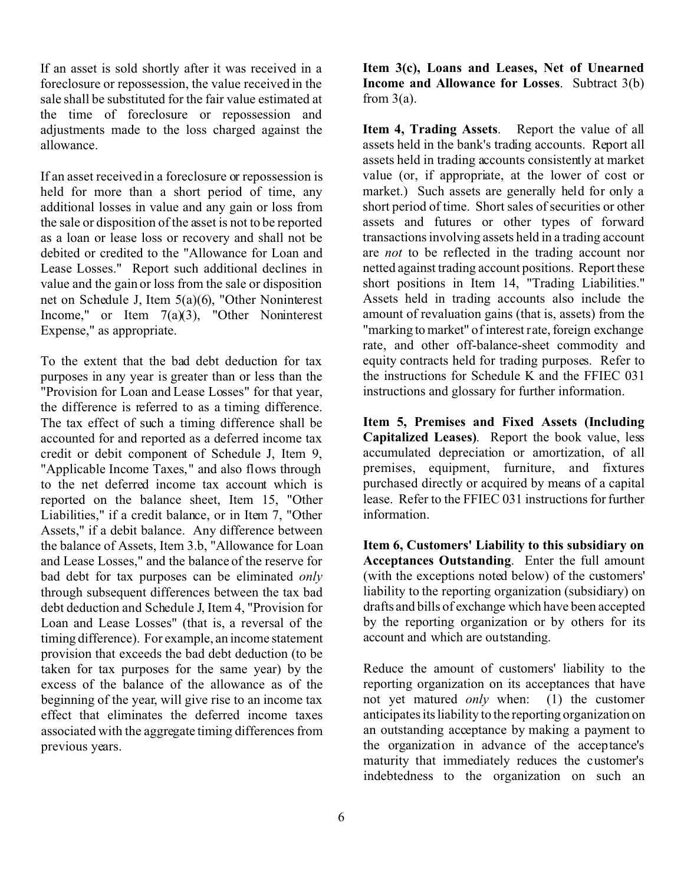If an asset is sold shortly after it was received in a foreclosure or repossession, the value received in the sale shall be substituted for the fair value estimated at the time of foreclosure or repossession and adjustments made to the loss charged against the allowance.

If an asset received in a foreclosure or repossession is held for more than a short period of time, any additional losses in value and any gain or loss from the sale or disposition of the asset is not to be reported as a loan or lease loss or recovery and shall not be debited or credited to the "Allowance for Loan and Lease Losses." Report such additional declines in value and the gain or loss from the sale or disposition net on Schedule J, Item 5(a)(6), "Other Noninterest Income," or Item  $7(a)(3)$ , "Other Noninterest" Expense," as appropriate.

To the extent that the bad debt deduction for tax purposes in any year is greater than or less than the "Provision for Loan and Lease Losses" for that year, the difference is referred to as a timing difference. The tax effect of such a timing difference shall be accounted for and reported as a deferred income tax credit or debit component of Schedule J, Item 9, "Applicable Income Taxes," and also flows through to the net deferred income tax account which is reported on the balance sheet, Item 15, "Other Liabilities," if a credit balance, or in Item 7, "Other Assets," if a debit balance. Any difference between the balance of Assets, Item 3.b, "Allowance for Loan and Lease Losses," and the balance of the reserve for bad debt for tax purposes can be eliminated *only* through subsequent differences between the tax bad debt deduction and Schedule J, Item 4, "Provision for Loan and Lease Losses" (that is, a reversal of the timing difference). For example, an income statement provision that exceeds the bad debt deduction (to be taken for tax purposes for the same year) by the excess of the balance of the allowance as of the beginning of the year, will give rise to an income tax effect that eliminates the deferred income taxes associated with the aggregate timing differences from previous years.

**Item 3(c), Loans and Leases, Net of Unearned Income and Allowance for Losses**. Subtract 3(b) from  $3(a)$ .

**Item 4, Trading Assets**. Report the value of all assets held in the bank's trading accounts. Report all assets held in trading accounts consistently at market value (or, if appropriate, at the lower of cost or market.) Such assets are generally held for only a short period of time. Short sales of securities or other assets and futures or other types of forward transactions involving assets held in a trading account are *not* to be reflected in the trading account nor netted against trading account positions. Report these short positions in Item 14, "Trading Liabilities." Assets held in trading accounts also include the amount of revaluation gains (that is, assets) from the "marking to market" of interest rate, foreign exchange rate, and other off-balance-sheet commodity and equity contracts held for trading purposes. Refer to the instructions for Schedule K and the FFIEC 031 instructions and glossary for further information.

**Item 5, Premises and Fixed Assets (Including Capitalized Leases)**. Report the book value, less accumulated depreciation or amortization, of all premises, equipment, furniture, and fixtures purchased directly or acquired by means of a capital lease. Refer to the FFIEC 031 instructions for further information.

**Item 6, Customers' Liability to this subsidiary on Acceptances Outstanding**. Enter the full amount (with the exceptions noted below) of the customers' liability to the reporting organization (subsidiary) on drafts and bills of exchange which have been accepted by the reporting organization or by others for its account and which are outstanding.

Reduce the amount of customers' liability to the reporting organization on its acceptances that have not yet matured *only* when: (1) the customer anticipates its liability to the reporting organization on an outstanding acceptance by making a payment to the organization in advance of the acceptance's maturity that immediately reduces the customer's indebtedness to the organization on such an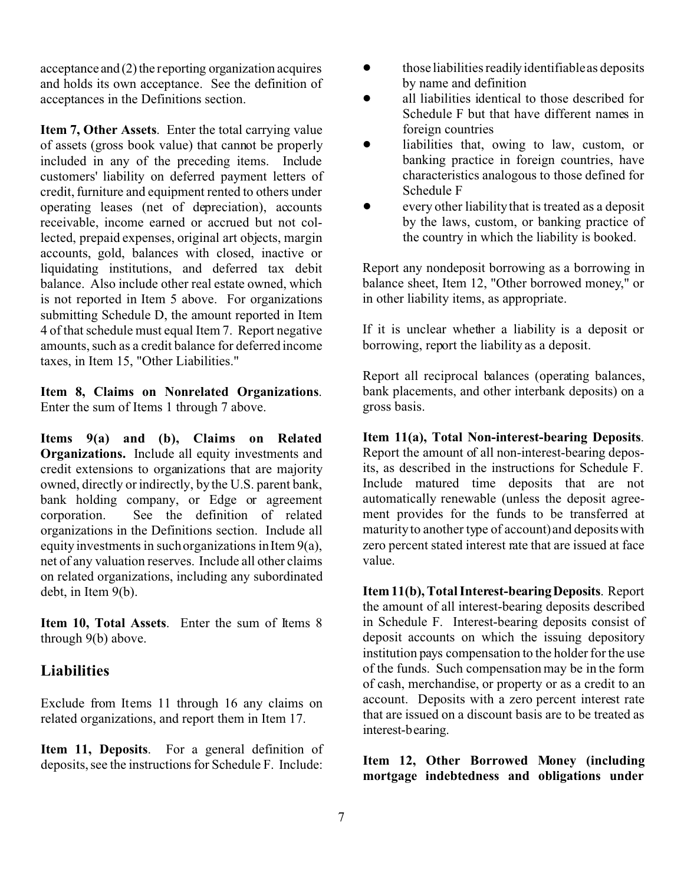acceptance and (2) the reporting organization acquires and holds its own acceptance. See the definition of acceptances in the Definitions section.

**Item 7, Other Assets**. Enter the total carrying value of assets (gross book value) that cannot be properly included in any of the preceding items. Include customers' liability on deferred payment letters of credit, furniture and equipment rented to others under operating leases (net of depreciation), accounts receivable, income earned or accrued but not collected, prepaid expenses, original art objects, margin accounts, gold, balances with closed, inactive or liquidating institutions, and deferred tax debit balance. Also include other real estate owned, which is not reported in Item 5 above. For organizations submitting Schedule D, the amount reported in Item 4 of that schedule must equal Item 7. Report negative amounts, such as a credit balance for deferred income taxes, in Item 15, "Other Liabilities."

**Item 8, Claims on Nonrelated Organizations**. Enter the sum of Items 1 through 7 above.

**Items 9(a) and (b), Claims on Related Organizations.** Include all equity investments and credit extensions to organizations that are majority owned, directly or indirectly, by the U.S. parent bank, bank holding company, or Edge or agreement corporation. See the definition of related organizations in the Definitions section. Include all equity investments in such organizations in Item 9(a), net of any valuation reserves. Include all other claims on related organizations, including any subordinated debt, in Item 9(b).

**Item 10, Total Assets**. Enter the sum of Items 8 through 9(b) above.

# **Liabilities**

Exclude from Items 11 through 16 any claims on related organizations, and report them in Item 17.

**Item 11, Deposits**. For a general definition of deposits, see the instructions for Schedule F. Include:

- $\bullet$  those liabilities readily identifiable as deposits by name and definition
- all liabilities identical to those described for Schedule F but that have different names in foreign countries
- liabilities that, owing to law, custom, or banking practice in foreign countries, have characteristics analogous to those defined for Schedule F
- ! every other liability that is treated as a deposit by the laws, custom, or banking practice of the country in which the liability is booked.

Report any nondeposit borrowing as a borrowing in balance sheet, Item 12, "Other borrowed money," or in other liability items, as appropriate.

If it is unclear whether a liability is a deposit or borrowing, report the liability as a deposit.

Report all reciprocal balances (operating balances, bank placements, and other interbank deposits) on a gross basis.

**Item 11(a), Total Non-interest-bearing Deposits**. Report the amount of all non-interest-bearing deposits, as described in the instructions for Schedule F. Include matured time deposits that are not automatically renewable (unless the deposit agreement provides for the funds to be transferred at maturity to another type of account) and deposits with zero percent stated interest rate that are issued at face value.

**Item 11(b), Total Interest-bearingDeposits**. Report the amount of all interest-bearing deposits described in Schedule F. Interest-bearing deposits consist of deposit accounts on which the issuing depository institution pays compensation to the holder for the use of the funds. Such compensation may be in the form of cash, merchandise, or property or as a credit to an account. Deposits with a zero percent interest rate that are issued on a discount basis are to be treated as interest-bearing.

**Item 12, Other Borrowed Money (including mortgage indebtedness and obligations under**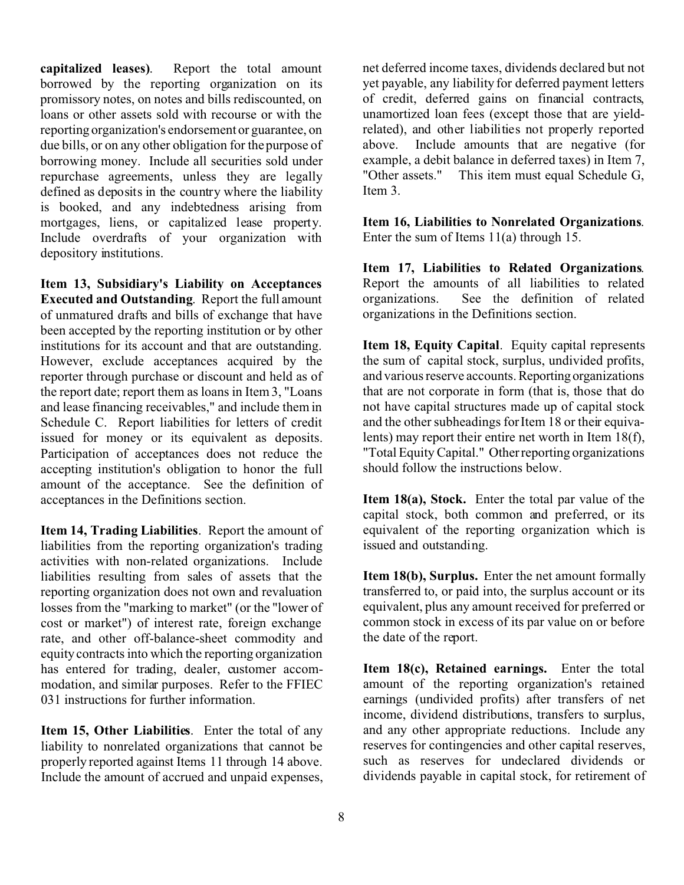**capitalized leases)**. Report the total amount borrowed by the reporting organization on its promissory notes, on notes and bills rediscounted, on loans or other assets sold with recourse or with the reporting organization's endorsement or guarantee, on due bills, or on any other obligation for the purpose of borrowing money. Include all securities sold under repurchase agreements, unless they are legally defined as deposits in the country where the liability is booked, and any indebtedness arising from mortgages, liens, or capitalized lease property. Include overdrafts of your organization with depository institutions.

**Item 13, Subsidiary's Liability on Acceptances Executed and Outstanding**. Report the full amount of unmatured drafts and bills of exchange that have been accepted by the reporting institution or by other institutions for its account and that are outstanding. However, exclude acceptances acquired by the reporter through purchase or discount and held as of the report date; report them as loans in Item 3, "Loans and lease financing receivables," and include them in Schedule C. Report liabilities for letters of credit issued for money or its equivalent as deposits. Participation of acceptances does not reduce the accepting institution's obligation to honor the full amount of the acceptance. See the definition of acceptances in the Definitions section.

**Item 14, Trading Liabilities**. Report the amount of liabilities from the reporting organization's trading activities with non-related organizations. Include liabilities resulting from sales of assets that the reporting organization does not own and revaluation losses from the "marking to market" (or the "lower of cost or market") of interest rate, foreign exchange rate, and other off-balance-sheet commodity and equity contracts into which the reporting organization has entered for trading, dealer, customer accommodation, and similar purposes. Refer to the FFIEC 031 instructions for further information.

**Item 15, Other Liabilities**. Enter the total of any liability to nonrelated organizations that cannot be properly reported against Items 11 through 14 above. Include the amount of accrued and unpaid expenses, net deferred income taxes, dividends declared but not yet payable, any liability for deferred payment letters of credit, deferred gains on financial contracts, unamortized loan fees (except those that are yieldrelated), and other liabilities not properly reported above. Include amounts that are negative (for example, a debit balance in deferred taxes) in Item 7, "Other assets." This item must equal Schedule G, Item 3.

**Item 16, Liabilities to Nonrelated Organizations**. Enter the sum of Items 11(a) through 15.

**Item 17, Liabilities to Related Organizations**. Report the amounts of all liabilities to related organizations. See the definition of related organizations in the Definitions section.

**Item 18, Equity Capital**. Equity capital represents the sum of capital stock, surplus, undivided profits, and various reserve accounts. Reporting organizations that are not corporate in form (that is, those that do not have capital structures made up of capital stock and the other subheadings for Item 18 or their equivalents) may report their entire net worth in Item 18(f), "Total Equity Capital." Other reporting organizations should follow the instructions below.

**Item 18(a), Stock.** Enter the total par value of the capital stock, both common and preferred, or its equivalent of the reporting organization which is issued and outstanding.

**Item 18(b), Surplus.** Enter the net amount formally transferred to, or paid into, the surplus account or its equivalent, plus any amount received for preferred or common stock in excess of its par value on or before the date of the report.

**Item 18(c), Retained earnings.** Enter the total amount of the reporting organization's retained earnings (undivided profits) after transfers of net income, dividend distributions, transfers to surplus, and any other appropriate reductions. Include any reserves for contingencies and other capital reserves, such as reserves for undeclared dividends or dividends payable in capital stock, for retirement of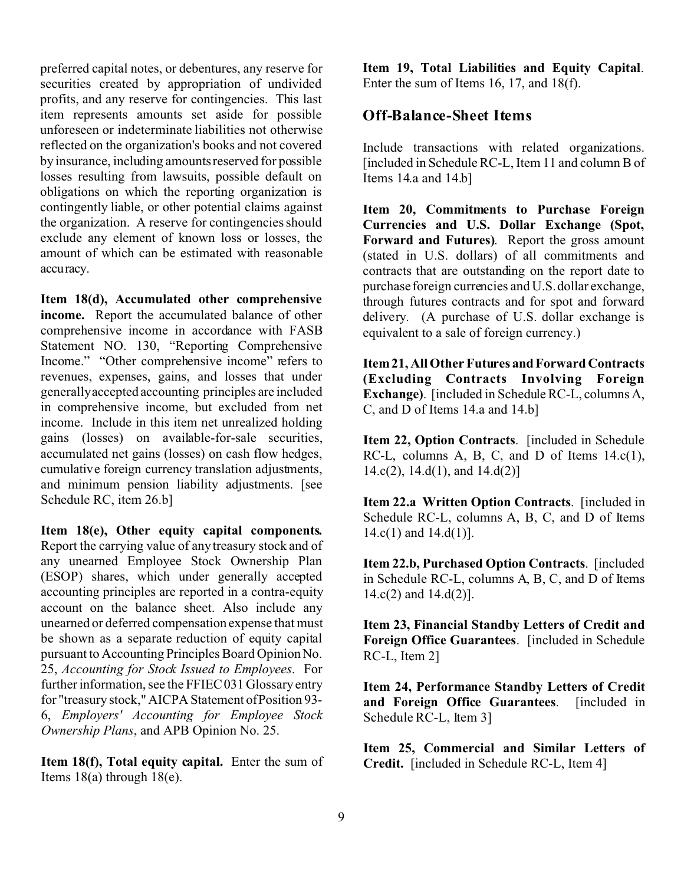preferred capital notes, or debentures, any reserve for securities created by appropriation of undivided profits, and any reserve for contingencies. This last item represents amounts set aside for possible unforeseen or indeterminate liabilities not otherwise reflected on the organization's books and not covered by insurance, including amounts reserved for possible losses resulting from lawsuits, possible default on obligations on which the reporting organization is contingently liable, or other potential claims against the organization. A reserve for contingencies should exclude any element of known loss or losses, the amount of which can be estimated with reasonable accuracy.

**Item 18(d), Accumulated other comprehensive income.** Report the accumulated balance of other comprehensive income in accordance with FASB Statement NO. 130, "Reporting Comprehensive Income." "Other comprehensive income" refers to revenues, expenses, gains, and losses that under generally accepted accounting principles are included in comprehensive income, but excluded from net income. Include in this item net unrealized holding gains (losses) on available-for-sale securities, accumulated net gains (losses) on cash flow hedges, cumulative foreign currency translation adjustments, and minimum pension liability adjustments. [see Schedule RC, item 26.b]

**Item 18(e), Other equity capital components.** Report the carrying value of any treasury stock and of any unearned Employee Stock Ownership Plan (ESOP) shares, which under generally accepted accounting principles are reported in a contra-equity account on the balance sheet. Also include any unearned or deferred compensation expense that must be shown as a separate reduction of equity capital pursuant to Accounting Principles Board Opinion No. 25, *Accounting for Stock Issued to Employees*. For further information, see the FFIEC 031 Glossary entry for "treasury stock," AICPA Statement of Position 93- 6, *Employers' Accounting for Employee Stock Ownership Plans*, and APB Opinion No. 25.

**Item 18(f), Total equity capital.** Enter the sum of Items  $18(a)$  through  $18(e)$ .

**Item 19, Total Liabilities and Equity Capital**. Enter the sum of Items 16, 17, and 18(f).

# **Off-Balance-Sheet Items**

Include transactions with related organizations. [included in Schedule RC-L, Item 11 and column B of Items 14.a and 14.b]

**Item 20, Commitments to Purchase Foreign Currencies and U.S. Dollar Exchange (Spot, Forward and Futures)**. Report the gross amount (stated in U.S. dollars) of all commitments and contracts that are outstanding on the report date to purchase foreign currencies and U.S. dollar exchange, through futures contracts and for spot and forward delivery. (A purchase of U.S. dollar exchange is equivalent to a sale of foreign currency.)

**Item 21, All Other Futures and Forward Contracts (Excluding Contracts Involving Foreign Exchange)**. [included in Schedule RC-L, columns A, C, and D of Items 14.a and 14.b]

**Item 22, Option Contracts**. [included in Schedule RC-L, columns A, B, C, and D of Items 14.c(1),  $14.c(2)$ ,  $14.d(1)$ , and  $14.d(2)$ ]

**Item 22.a Written Option Contracts**. [included in Schedule RC-L, columns A, B, C, and D of Items  $14.c(1)$  and  $14.d(1)$ ].

**Item 22.b, Purchased Option Contracts**. [included in Schedule RC-L, columns A, B, C, and D of Items  $14.c(2)$  and  $14.d(2)$ ].

**Item 23, Financial Standby Letters of Credit and Foreign Office Guarantees**. [included in Schedule RC-L, Item 2]

**Item 24, Performance Standby Letters of Credit and Foreign Office Guarantees**. [included in Schedule RC-L, Item 3]

**Item 25, Commercial and Similar Letters of Credit.** [included in Schedule RC-L, Item 4]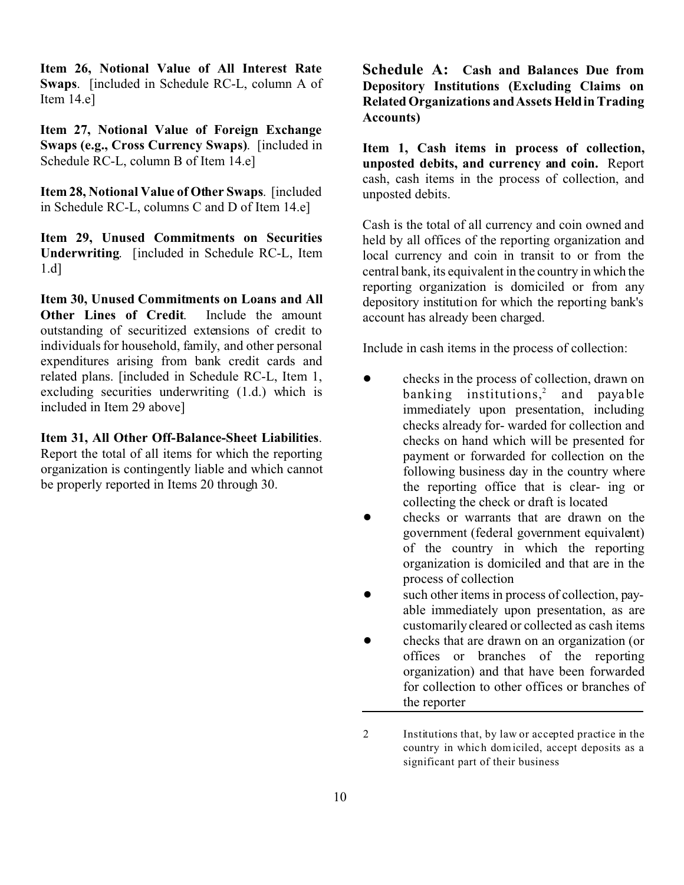**Item 26, Notional Value of All Interest Rate Swaps**. [included in Schedule RC-L, column A of Item 14.e]

**Item 27, Notional Value of Foreign Exchange Swaps (e.g., Cross Currency Swaps)**. [included in Schedule RC-L, column B of Item 14.e]

**Item 28, Notional Value of Other Swaps**. [included in Schedule RC-L, columns C and D of Item 14.e]

**Item 29, Unused Commitments on Securities Underwriting**. [included in Schedule RC-L, Item 1.d]

**Item 30, Unused Commitments on Loans and All Other Lines of Credit**. Include the amount outstanding of securitized extensions of credit to individuals for household, family, and other personal expenditures arising from bank credit cards and related plans. [included in Schedule RC-L, Item 1, excluding securities underwriting (1.d.) which is included in Item 29 above]

**Item 31, All Other Off-Balance-Sheet Liabilities**.

Report the total of all items for which the reporting organization is contingently liable and which cannot be properly reported in Items 20 through 30.

**Schedule A: Cash and Balances Due from Depository Institutions (Excluding Claims on Related Organizations and Assets Held in Trading Accounts)**

**Item 1, Cash items in process of collection, unposted debits, and currency and coin.** Report cash, cash items in the process of collection, and unposted debits.

Cash is the total of all currency and coin owned and held by all offices of the reporting organization and local currency and coin in transit to or from the central bank, its equivalent in the country in which the reporting organization is domiciled or from any depository institution for which the reporting bank's account has already been charged.

Include in cash items in the process of collection:

- checks in the process of collection, drawn on banking institutions,<sup>2</sup> and payable immediately upon presentation, including checks already for- warded for collection and checks on hand which will be presented for payment or forwarded for collection on the following business day in the country where the reporting office that is clear- ing or collecting the check or draft is located
- ! checks or warrants that are drawn on the government (federal government equivalent) of the country in which the reporting organization is domiciled and that are in the process of collection
- such other items in process of collection, payable immediately upon presentation, as are customarily cleared or collected as cash items
- ! checks that are drawn on an organization (or offices or branches of the reporting organization) and that have been forwarded for collection to other offices or branches of the reporter

2 Institutions that, by law or accepted practice in the country in which domiciled, accept deposits as a significant part of their business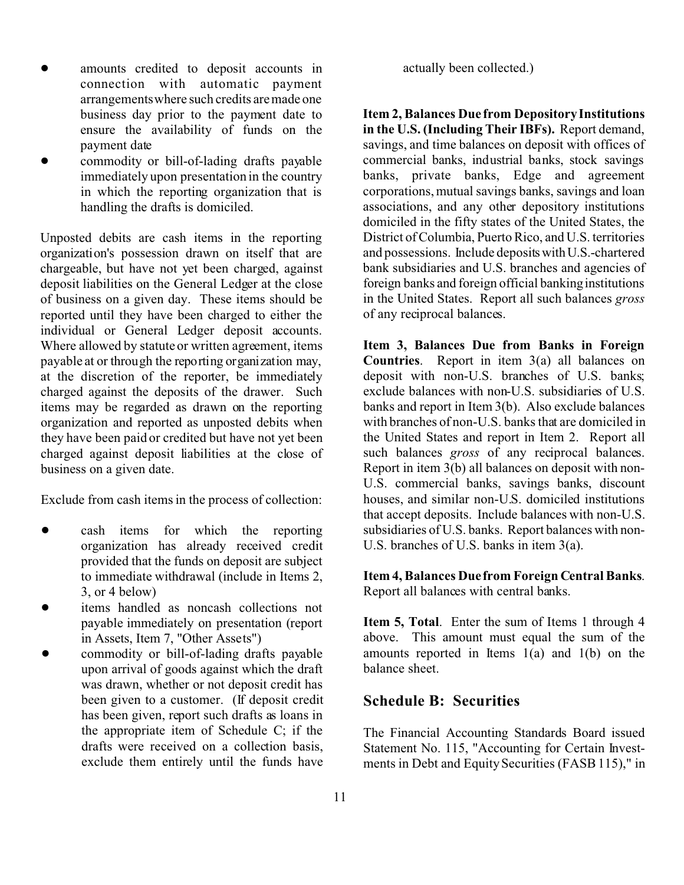- ! amounts credited to deposit accounts in connection with automatic payment arrangements where such credits are made one business day prior to the payment date to ensure the availability of funds on the payment date
- commodity or bill-of-lading drafts payable immediately upon presentation in the country in which the reporting organization that is handling the drafts is domiciled.

Unposted debits are cash items in the reporting organization's possession drawn on itself that are chargeable, but have not yet been charged, against deposit liabilities on the General Ledger at the close of business on a given day. These items should be reported until they have been charged to either the individual or General Ledger deposit accounts. Where allowed by statute or written agreement, items payable at or through the reporting organization may, at the discretion of the reporter, be immediately charged against the deposits of the drawer. Such items may be regarded as drawn on the reporting organization and reported as unposted debits when they have been paid or credited but have not yet been charged against deposit liabilities at the close of business on a given date.

Exclude from cash items in the process of collection:

- cash items for which the reporting organization has already received credit provided that the funds on deposit are subject to immediate withdrawal (include in Items 2, 3, or 4 below)
- items handled as noncash collections not payable immediately on presentation (report in Assets, Item 7, "Other Assets")
- ! commodity or bill-of-lading drafts payable upon arrival of goods against which the draft was drawn, whether or not deposit credit has been given to a customer. (If deposit credit has been given, report such drafts as loans in the appropriate item of Schedule C; if the drafts were received on a collection basis, exclude them entirely until the funds have

actually been collected.)

**Item 2, Balances Due from Depository Institutions in the U.S. (Including Their IBFs).** Report demand, savings, and time balances on deposit with offices of commercial banks, industrial banks, stock savings banks, private banks, Edge and agreement corporations, mutual savings banks, savings and loan associations, and any other depository institutions domiciled in the fifty states of the United States, the District of Columbia, Puerto Rico, and U.S. territories and possessions. Include depositswithU.S.-chartered bank subsidiaries and U.S. branches and agencies of foreign banks and foreign official banking institutions in the United States. Report all such balances *gross* of any reciprocal balances.

**Item 3, Balances Due from Banks in Foreign Countries**. Report in item 3(a) all balances on deposit with non-U.S. branches of U.S. banks; exclude balances with non-U.S. subsidiaries of U.S. banks and report in Item 3(b). Also exclude balances with branches of non-U.S. banks that are domiciled in the United States and report in Item 2. Report all such balances *gross* of any reciprocal balances. Report in item 3(b) all balances on deposit with non-U.S. commercial banks, savings banks, discount houses, and similar non-U.S. domiciled institutions that accept deposits. Include balances with non-U.S. subsidiaries of U.S. banks. Report balances with non-U.S. branches of U.S. banks in item 3(a).

**Item 4, Balances Due from Foreign Central Banks**. Report all balances with central banks.

**Item 5, Total.** Enter the sum of Items 1 through 4 above. This amount must equal the sum of the amounts reported in Items 1(a) and 1(b) on the balance sheet.

# **Schedule B: Securities**

The Financial Accounting Standards Board issued Statement No. 115, "Accounting for Certain Investments in Debt and Equity Securities (FASB 115)," in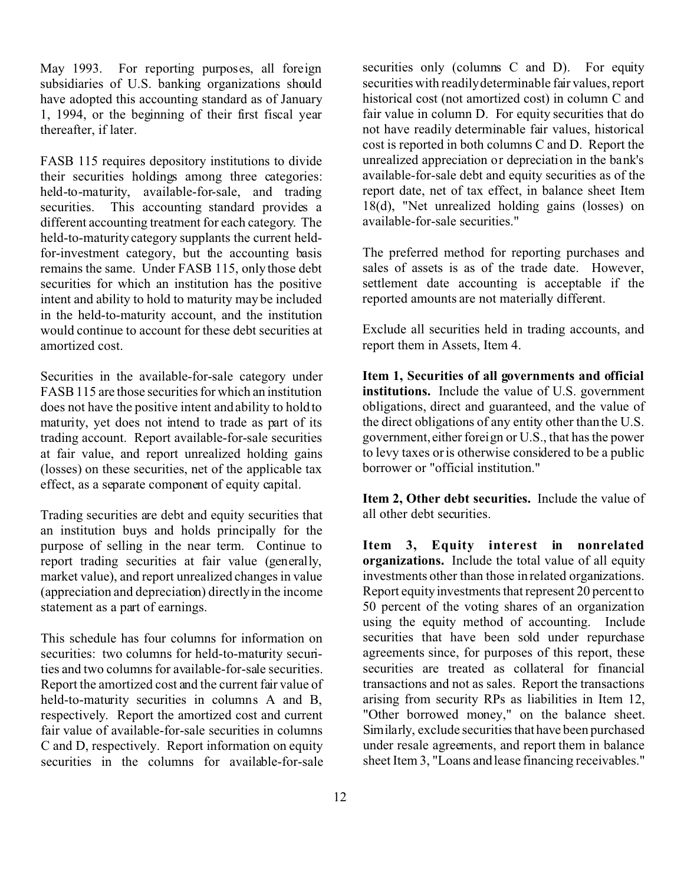May 1993. For reporting purposes, all foreign subsidiaries of U.S. banking organizations should have adopted this accounting standard as of January 1, 1994, or the beginning of their first fiscal year thereafter, if later.

FASB 115 requires depository institutions to divide their securities holdings among three categories: held-to-maturity, available-for-sale, and trading securities. This accounting standard provides a different accounting treatment for each category. The held-to-maturity category supplants the current heldfor-investment category, but the accounting basis remains the same. Under FASB 115, only those debt securities for which an institution has the positive intent and ability to hold to maturity may be included in the held-to-maturity account, and the institution would continue to account for these debt securities at amortized cost.

Securities in the available-for-sale category under FASB 115 are those securities for which an institution does not have the positive intent and ability to hold to maturity, yet does not intend to trade as part of its trading account. Report available-for-sale securities at fair value, and report unrealized holding gains (losses) on these securities, net of the applicable tax effect, as a separate component of equity capital.

Trading securities are debt and equity securities that an institution buys and holds principally for the purpose of selling in the near term. Continue to report trading securities at fair value (generally, market value), and report unrealized changes in value (appreciation and depreciation) directly in the income statement as a part of earnings.

This schedule has four columns for information on securities: two columns for held-to-maturity securities and two columns for available-for-sale securities. Report the amortized cost and the current fair value of held-to-maturity securities in columns A and B, respectively. Report the amortized cost and current fair value of available-for-sale securities in columns C and D, respectively. Report information on equity securities in the columns for available-for-sale securities only (columns C and D). For equity securities with readily determinable fair values, report historical cost (not amortized cost) in column C and fair value in column D. For equity securities that do not have readily determinable fair values, historical cost is reported in both columns C and D. Report the unrealized appreciation or depreciation in the bank's available-for-sale debt and equity securities as of the report date, net of tax effect, in balance sheet Item 18(d), "Net unrealized holding gains (losses) on available-for-sale securities."

The preferred method for reporting purchases and sales of assets is as of the trade date. However, settlement date accounting is acceptable if the reported amounts are not materially different.

Exclude all securities held in trading accounts, and report them in Assets, Item 4.

**Item 1, Securities of all governments and official institutions.** Include the value of U.S. government obligations, direct and guaranteed, and the value of the direct obligations of any entity other than the U.S. government, either foreign or U.S., that has the power to levy taxes or is otherwise considered to be a public borrower or "official institution."

**Item 2, Other debt securities.** Include the value of all other debt securities.

**Item 3, Equity interest in nonrelated organizations.** Include the total value of all equity investments other than those in related organizations. Report equity investments that represent 20 percent to 50 percent of the voting shares of an organization using the equity method of accounting. Include securities that have been sold under repurchase agreements since, for purposes of this report, these securities are treated as collateral for financial transactions and not as sales. Report the transactions arising from security RPs as liabilities in Item 12, "Other borrowed money," on the balance sheet. Similarly, exclude securities that have been purchased under resale agreements, and report them in balance sheet Item 3, "Loans and lease financing receivables."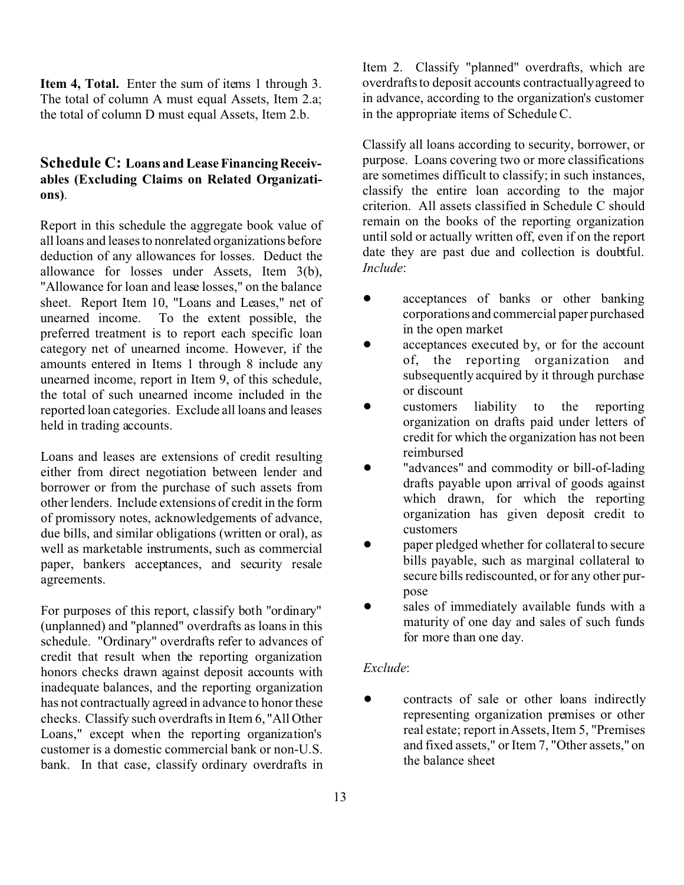**Item 4, Total.** Enter the sum of items 1 through 3. The total of column A must equal Assets, Item 2.a; the total of column D must equal Assets, Item 2.b.

#### **Schedule C: Loans and Lease FinancingReceivables (Excluding Claims on Related Organizations)**.

Report in this schedule the aggregate book value of all loans and leases to nonrelated organizations before deduction of any allowances for losses. Deduct the allowance for losses under Assets, Item 3(b), "Allowance for loan and lease losses," on the balance sheet. Report Item 10, "Loans and Leases," net of unearned income. To the extent possible, the preferred treatment is to report each specific loan category net of unearned income. However, if the amounts entered in Items 1 through 8 include any unearned income, report in Item 9, of this schedule, the total of such unearned income included in the reported loan categories. Exclude all loans and leases held in trading accounts.

Loans and leases are extensions of credit resulting either from direct negotiation between lender and borrower or from the purchase of such assets from other lenders. Include extensions of credit in the form of promissory notes, acknowledgements of advance, due bills, and similar obligations (written or oral), as well as marketable instruments, such as commercial paper, bankers acceptances, and security resale agreements.

For purposes of this report, classify both "ordinary" (unplanned) and "planned" overdrafts as loans in this schedule. "Ordinary" overdrafts refer to advances of credit that result when the reporting organization honors checks drawn against deposit accounts with inadequate balances, and the reporting organization has not contractually agreed in advance to honor these checks. Classify such overdrafts in Item 6, "All Other Loans," except when the reporting organization's customer is a domestic commercial bank or non-U.S. bank. In that case, classify ordinary overdrafts in Item 2. Classify "planned" overdrafts, which are overdrafts to deposit accounts contractually agreed to in advance, according to the organization's customer in the appropriate items of Schedule C.

Classify all loans according to security, borrower, or purpose. Loans covering two or more classifications are sometimes difficult to classify; in such instances, classify the entire loan according to the major criterion. All assets classified in Schedule C should remain on the books of the reporting organization until sold or actually written off, even if on the report date they are past due and collection is doubtful. *Include*:

- ! acceptances of banks or other banking corporations and commercial paper purchased in the open market
- acceptances executed by, or for the account of, the reporting organization and subsequently acquired by it through purchase or discount
- ! customers liability to the reporting organization on drafts paid under letters of credit for which the organization has not been reimbursed
- "advances" and commodity or bill-of-lading drafts payable upon arrival of goods against which drawn, for which the reporting organization has given deposit credit to customers
- paper pledged whether for collateral to secure bills payable, such as marginal collateral to secure bills rediscounted, or for any other purpose
- sales of immediately available funds with a maturity of one day and sales of such funds for more than one day.

#### *Exclude*:

! contracts of sale or other loans indirectly representing organization premises or other real estate; report in Assets, Item 5, "Premises and fixed assets," or Item 7, "Other assets," on the balance sheet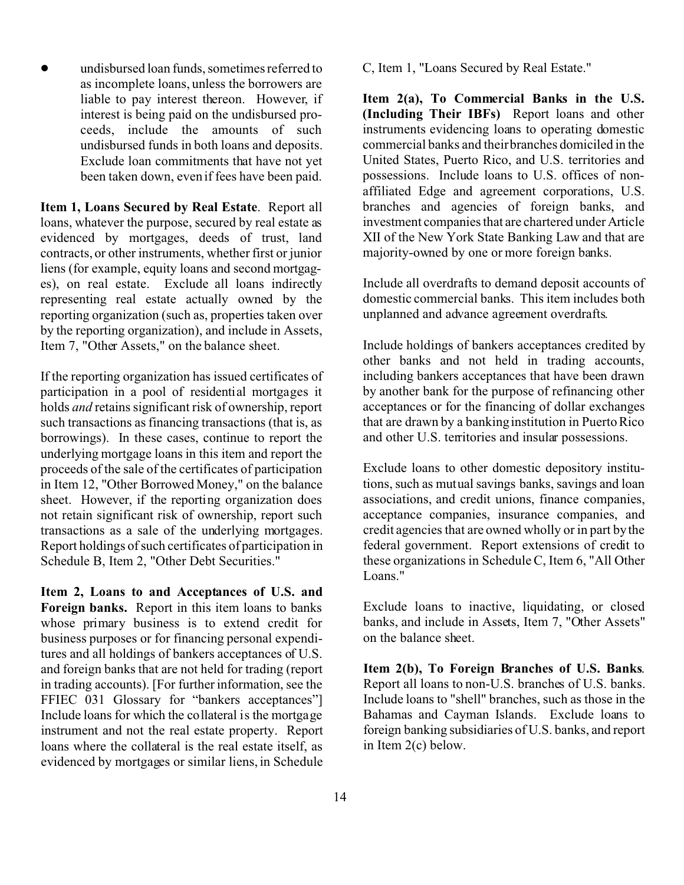! undisbursed loan funds, sometimes referred to as incomplete loans, unless the borrowers are liable to pay interest thereon. However, if interest is being paid on the undisbursed proceeds, include the amounts of such undisbursed funds in both loans and deposits. Exclude loan commitments that have not yet been taken down, even if fees have been paid.

**Item 1, Loans Secured by Real Estate**. Report all loans, whatever the purpose, secured by real estate as evidenced by mortgages, deeds of trust, land contracts, or other instruments, whether first or junior liens (for example, equity loans and second mortgages), on real estate. Exclude all loans indirectly representing real estate actually owned by the reporting organization (such as, properties taken over by the reporting organization), and include in Assets, Item 7, "Other Assets," on the balance sheet.

If the reporting organization has issued certificates of participation in a pool of residential mortgages it holds *and* retains significant risk of ownership, report such transactions as financing transactions (that is, as borrowings). In these cases, continue to report the underlying mortgage loans in this item and report the proceeds of the sale of the certificates of participation in Item 12, "Other Borrowed Money," on the balance sheet. However, if the reporting organization does not retain significant risk of ownership, report such transactions as a sale of the underlying mortgages. Report holdings of such certificates of participation in Schedule B, Item 2, "Other Debt Securities."

**Item 2, Loans to and Acceptances of U.S. and Foreign banks.** Report in this item loans to banks whose primary business is to extend credit for business purposes or for financing personal expenditures and all holdings of bankers acceptances of U.S. and foreign banks that are not held for trading (report in trading accounts). [For further information, see the FFIEC 031 Glossary for "bankers acceptances"] Include loans for which the collateral is the mortgage instrument and not the real estate property. Report loans where the collateral is the real estate itself, as evidenced by mortgages or similar liens, in Schedule C, Item 1, "Loans Secured by Real Estate."

**Item 2(a), To Commercial Banks in the U.S. (Including Their IBFs)** Report loans and other instruments evidencing loans to operating domestic commercial banks and their branches domiciled in the United States, Puerto Rico, and U.S. territories and possessions. Include loans to U.S. offices of nonaffiliated Edge and agreement corporations, U.S. branches and agencies of foreign banks, and investment companies that are chartered under Article XII of the New York State Banking Law and that are majority-owned by one or more foreign banks.

Include all overdrafts to demand deposit accounts of domestic commercial banks. This item includes both unplanned and advance agreement overdrafts.

Include holdings of bankers acceptances credited by other banks and not held in trading accounts, including bankers acceptances that have been drawn by another bank for the purpose of refinancing other acceptances or for the financing of dollar exchanges that are drawn by a banking institution in Puerto Rico and other U.S. territories and insular possessions.

Exclude loans to other domestic depository institutions, such as mutual savings banks, savings and loan associations, and credit unions, finance companies, acceptance companies, insurance companies, and credit agencies that are owned wholly or in part by the federal government. Report extensions of credit to these organizations in Schedule C, Item 6, "All Other Loans."

Exclude loans to inactive, liquidating, or closed banks, and include in Assets, Item 7, "Other Assets" on the balance sheet.

**Item 2(b), To Foreign Branches of U.S. Banks**. Report all loans to non-U.S. branches of U.S. banks. Include loans to "shell" branches, such as those in the Bahamas and Cayman Islands. Exclude loans to foreign banking subsidiaries of U.S. banks, and report in Item 2(c) below.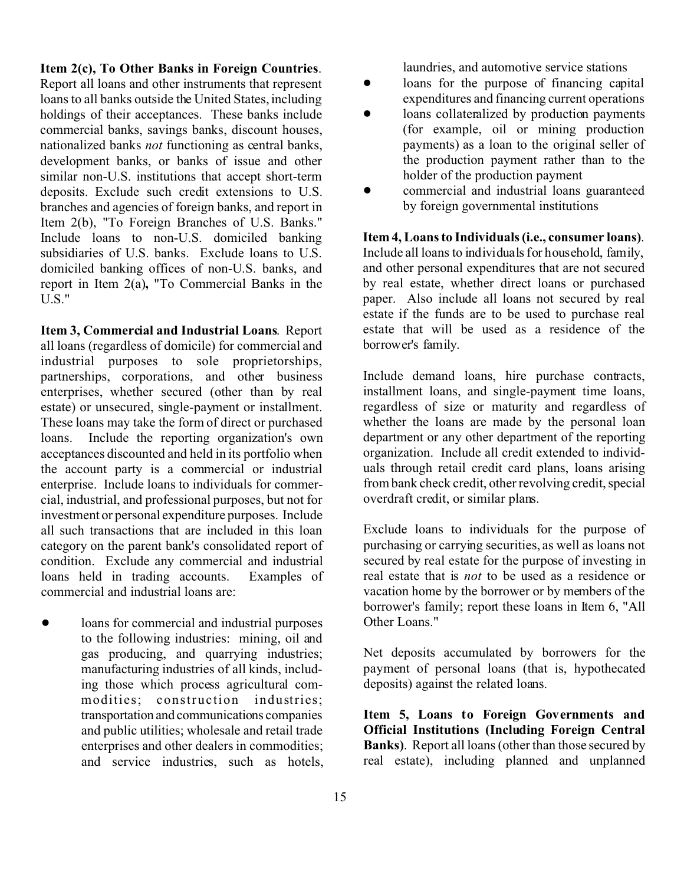#### **Item 2(c), To Other Banks in Foreign Countries**.

Report all loans and other instruments that represent loans to all banks outside the United States, including holdings of their acceptances. These banks include commercial banks, savings banks, discount houses, nationalized banks *not* functioning as central banks, development banks, or banks of issue and other similar non-U.S. institutions that accept short-term deposits. Exclude such credit extensions to U.S. branches and agencies of foreign banks, and report in Item 2(b), "To Foreign Branches of U.S. Banks." Include loans to non-U.S. domiciled banking subsidiaries of U.S. banks. Exclude loans to U.S. domiciled banking offices of non-U.S. banks, and report in Item 2(a)**,** "To Commercial Banks in the U.S."

**Item 3, Commercial and Industrial Loans**. Report all loans (regardless of domicile) for commercial and industrial purposes to sole proprietorships, partnerships, corporations, and other business enterprises, whether secured (other than by real estate) or unsecured, single-payment or installment. These loans may take the form of direct or purchased loans. Include the reporting organization's own acceptances discounted and held in its portfolio when the account party is a commercial or industrial enterprise. Include loans to individuals for commercial, industrial, and professional purposes, but not for investment or personal expenditure purposes. Include all such transactions that are included in this loan category on the parent bank's consolidated report of condition. Exclude any commercial and industrial loans held in trading accounts. Examples of commercial and industrial loans are:

loans for commercial and industrial purposes to the following industries: mining, oil and gas producing, and quarrying industries; manufacturing industries of all kinds, including those which process agricultural commodities; construction industries; transportation and communications companies and public utilities; wholesale and retail trade enterprises and other dealers in commodities; and service industries, such as hotels, laundries, and automotive service stations

- loans for the purpose of financing capital expenditures and financing current operations
- loans collateralized by production payments (for example, oil or mining production payments) as a loan to the original seller of the production payment rather than to the holder of the production payment
- ! commercial and industrial loans guaranteed by foreign governmental institutions

**Item 4, Loans to Individuals (i.e., consumer loans)**. Include all loans to individuals for household, family, and other personal expenditures that are not secured by real estate, whether direct loans or purchased paper. Also include all loans not secured by real estate if the funds are to be used to purchase real estate that will be used as a residence of the borrower's family.

Include demand loans, hire purchase contracts, installment loans, and single-payment time loans, regardless of size or maturity and regardless of whether the loans are made by the personal loan department or any other department of the reporting organization. Include all credit extended to individuals through retail credit card plans, loans arising from bank check credit, other revolving credit, special overdraft credit, or similar plans.

Exclude loans to individuals for the purpose of purchasing or carrying securities, as well as loans not secured by real estate for the purpose of investing in real estate that is *not* to be used as a residence or vacation home by the borrower or by members of the borrower's family; report these loans in Item 6, "All Other Loans."

Net deposits accumulated by borrowers for the payment of personal loans (that is, hypothecated deposits) against the related loans.

**Item 5, Loans to Foreign Governments and Official Institutions (Including Foreign Central Banks)**. Report all loans (other than those secured by real estate), including planned and unplanned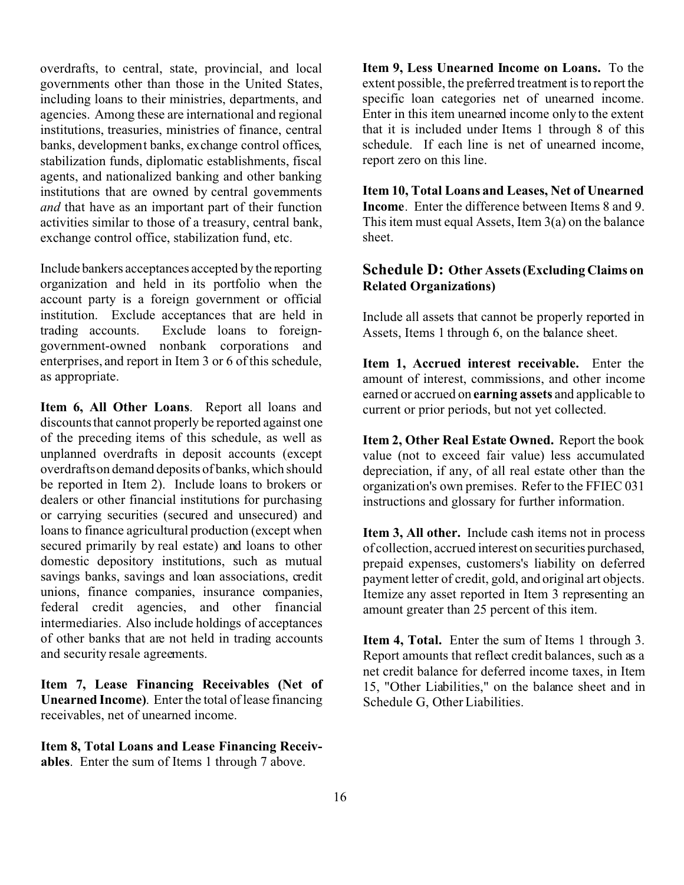overdrafts, to central, state, provincial, and local governments other than those in the United States, including loans to their ministries, departments, and agencies. Among these are international and regional institutions, treasuries, ministries of finance, central banks, development banks, exchange control offices, stabilization funds, diplomatic establishments, fiscal agents, and nationalized banking and other banking institutions that are owned by central governments *and* that have as an important part of their function activities similar to those of a treasury, central bank, exchange control office, stabilization fund, etc.

Include bankers acceptances accepted by the reporting organization and held in its portfolio when the account party is a foreign government or official institution. Exclude acceptances that are held in trading accounts. Exclude loans to foreigngovernment-owned nonbank corporations and enterprises, and report in Item 3 or 6 of this schedule, as appropriate.

**Item 6, All Other Loans**. Report all loans and discounts that cannot properly be reported against one of the preceding items of this schedule, as well as unplanned overdrafts in deposit accounts (except overdrafts on demand deposits of banks, which should be reported in Item 2). Include loans to brokers or dealers or other financial institutions for purchasing or carrying securities (secured and unsecured) and loans to finance agricultural production (except when secured primarily by real estate) and loans to other domestic depository institutions, such as mutual savings banks, savings and loan associations, credit unions, finance companies, insurance companies, federal credit agencies, and other financial intermediaries. Also include holdings of acceptances of other banks that are not held in trading accounts and security resale agreements.

**Item 7, Lease Financing Receivables (Net of Unearned Income)**. Enter the total of lease financing receivables, net of unearned income.

**Item 8, Total Loans and Lease Financing Receivables**. Enter the sum of Items 1 through 7 above.

**Item 9, Less Unearned Income on Loans.** To the extent possible, the preferred treatment is to report the specific loan categories net of unearned income. Enter in this item unearned income only to the extent that it is included under Items 1 through 8 of this schedule. If each line is net of unearned income, report zero on this line.

**Item 10, Total Loans and Leases, Net of Unearned Income**. Enter the difference between Items 8 and 9. This item must equal Assets, Item 3(a) on the balance sheet.

# **Schedule D: Other Assets (Excluding Claims on Related Organizations)**

Include all assets that cannot be properly reported in Assets, Items 1 through 6, on the balance sheet.

**Item 1, Accrued interest receivable.** Enter the amount of interest, commissions, and other income earned or accrued on **earning assets** and applicable to current or prior periods, but not yet collected.

**Item 2, Other Real Estate Owned.** Report the book value (not to exceed fair value) less accumulated depreciation, if any, of all real estate other than the organization's own premises. Refer to the FFIEC 031 instructions and glossary for further information.

**Item 3, All other.** Include cash items not in process of collection, accrued interest on securities purchased, prepaid expenses, customers's liability on deferred payment letter of credit, gold, and original art objects. Itemize any asset reported in Item 3 representing an amount greater than 25 percent of this item.

**Item 4, Total.** Enter the sum of Items 1 through 3. Report amounts that reflect credit balances, such as a net credit balance for deferred income taxes, in Item 15, "Other Liabilities," on the balance sheet and in Schedule G, Other Liabilities.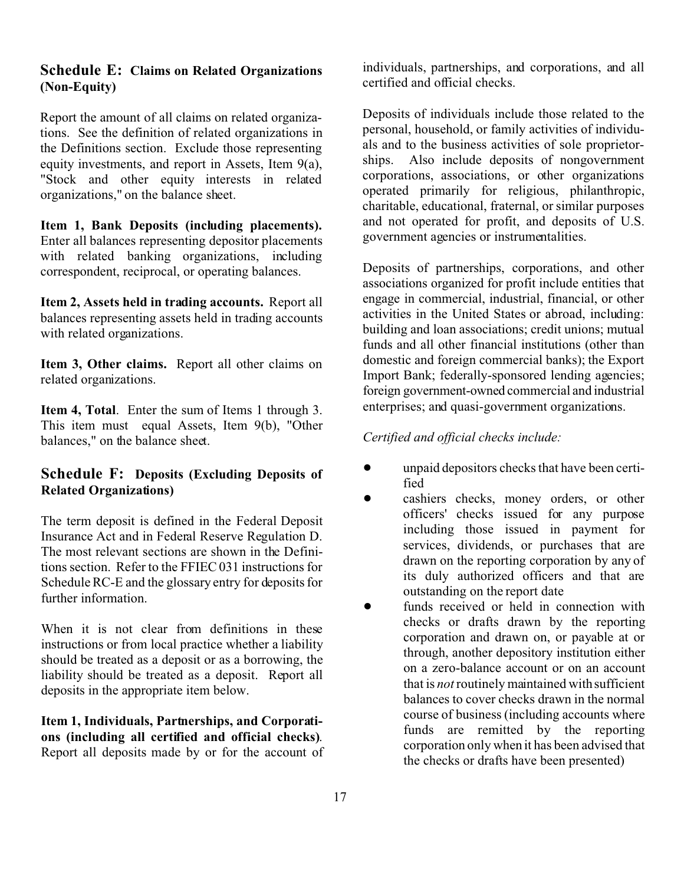#### **Schedule E: Claims on Related Organizations (Non-Equity)**

Report the amount of all claims on related organizations. See the definition of related organizations in the Definitions section. Exclude those representing equity investments, and report in Assets, Item 9(a), "Stock and other equity interests in related organizations," on the balance sheet.

**Item 1, Bank Deposits (including placements).** Enter all balances representing depositor placements with related banking organizations, including correspondent, reciprocal, or operating balances.

**Item 2, Assets held in trading accounts.** Report all balances representing assets held in trading accounts with related organizations.

**Item 3, Other claims.** Report all other claims on related organizations.

**Item 4, Total**. Enter the sum of Items 1 through 3. This item must equal Assets, Item 9(b), "Other balances," on the balance sheet.

# **Schedule F: Deposits (Excluding Deposits of Related Organizations)**

The term deposit is defined in the Federal Deposit Insurance Act and in Federal Reserve Regulation D. The most relevant sections are shown in the Definitions section. Refer to the FFIEC 031 instructions for Schedule RC-E and the glossary entry for deposits for further information.

When it is not clear from definitions in these instructions or from local practice whether a liability should be treated as a deposit or as a borrowing, the liability should be treated as a deposit. Report all deposits in the appropriate item below.

**Item 1, Individuals, Partnerships, and Corporations (including all certified and official checks)**. Report all deposits made by or for the account of individuals, partnerships, and corporations, and all certified and official checks.

Deposits of individuals include those related to the personal, household, or family activities of individuals and to the business activities of sole proprietorships. Also include deposits of nongovernment corporations, associations, or other organizations operated primarily for religious, philanthropic, charitable, educational, fraternal, or similar purposes and not operated for profit, and deposits of U.S. government agencies or instrumentalities.

Deposits of partnerships, corporations, and other associations organized for profit include entities that engage in commercial, industrial, financial, or other activities in the United States or abroad, including: building and loan associations; credit unions; mutual funds and all other financial institutions (other than domestic and foreign commercial banks); the Export Import Bank; federally-sponsored lending agencies; foreign government-owned commercial and industrial enterprises; and quasi-government organizations.

*Certified and official checks include:*

- unpaid depositors checks that have been certified
- cashiers checks, money orders, or other officers' checks issued for any purpose including those issued in payment for services, dividends, or purchases that are drawn on the reporting corporation by any of its duly authorized officers and that are outstanding on the report date
- funds received or held in connection with checks or drafts drawn by the reporting corporation and drawn on, or payable at or through, another depository institution either on a zero-balance account or on an account that is *not* routinely maintained with sufficient balances to cover checks drawn in the normal course of business (including accounts where funds are remitted by the reporting corporation only when it has been advised that the checks or drafts have been presented)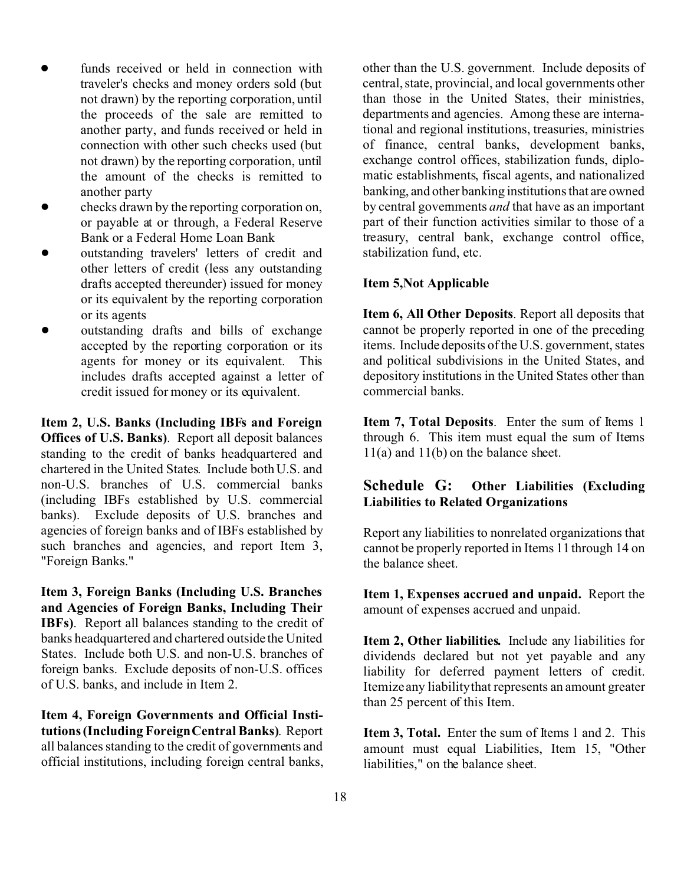- funds received or held in connection with traveler's checks and money orders sold (but not drawn) by the reporting corporation, until the proceeds of the sale are remitted to another party, and funds received or held in connection with other such checks used (but not drawn) by the reporting corporation, until the amount of the checks is remitted to another party
- ! checks drawn by the reporting corporation on, or payable at or through, a Federal Reserve Bank or a Federal Home Loan Bank
- outstanding travelers' letters of credit and other letters of credit (less any outstanding drafts accepted thereunder) issued for money or its equivalent by the reporting corporation or its agents
- outstanding drafts and bills of exchange accepted by the reporting corporation or its agents for money or its equivalent. This includes drafts accepted against a letter of credit issued for money or its equivalent.

**Item 2, U.S. Banks (Including IBFs and Foreign Offices of U.S. Banks)**. Report all deposit balances standing to the credit of banks headquartered and chartered in the United States. Include both U.S. and non-U.S. branches of U.S. commercial banks (including IBFs established by U.S. commercial banks). Exclude deposits of U.S. branches and agencies of foreign banks and of IBFs established by such branches and agencies, and report Item 3, "Foreign Banks."

**Item 3, Foreign Banks (Including U.S. Branches and Agencies of Foreign Banks, Including Their IBFs)**. Report all balances standing to the credit of banks headquartered and chartered outside the United States. Include both U.S. and non-U.S. branches of foreign banks. Exclude deposits of non-U.S. offices of U.S. banks, and include in Item 2.

**Item 4, Foreign Governments and Official Institutions (Including Foreign Central Banks)**. Report all balances standing to the credit of governments and official institutions, including foreign central banks, other than the U.S. government. Include deposits of central, state, provincial, and local governments other than those in the United States, their ministries, departments and agencies. Among these are international and regional institutions, treasuries, ministries of finance, central banks, development banks, exchange control offices, stabilization funds, diplomatic establishments, fiscal agents, and nationalized banking, and other banking institutions that are owned by central governments *and* that have as an important part of their function activities similar to those of a treasury, central bank, exchange control office, stabilization fund, etc.

#### **Item 5,Not Applicable**

**Item 6, All Other Deposits**. Report all deposits that cannot be properly reported in one of the preceding items. Include deposits of the U.S. government, states and political subdivisions in the United States, and depository institutions in the United States other than commercial banks.

**Item 7, Total Deposits**. Enter the sum of Items 1 through 6. This item must equal the sum of Items 11(a) and 11(b) on the balance sheet.

# **Schedule G: Other Liabilities (Excluding Liabilities to Related Organizations**

Report any liabilities to nonrelated organizations that cannot be properly reported in Items 11 through 14 on the balance sheet.

**Item 1, Expenses accrued and unpaid.** Report the amount of expenses accrued and unpaid.

**Item 2, Other liabilities.** Include any liabilities for dividends declared but not yet payable and any liability for deferred payment letters of credit. Itemize any liability that represents an amount greater than 25 percent of this Item.

**Item 3. Total.** Enter the sum of Items 1 and 2. This amount must equal Liabilities, Item 15, "Other liabilities," on the balance sheet.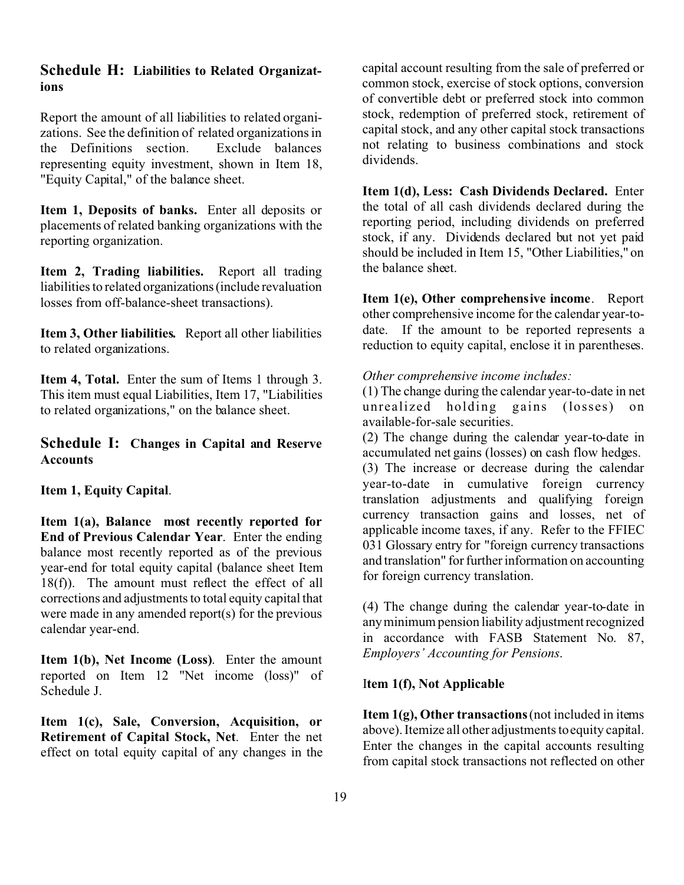#### **Schedule H: Liabilities to Related Organizations**

Report the amount of all liabilities to related organizations. See the definition of related organizations in the Definitions section. Exclude balances representing equity investment, shown in Item 18, "Equity Capital," of the balance sheet.

**Item 1, Deposits of banks.** Enter all deposits or placements of related banking organizations with the reporting organization.

**Item 2, Trading liabilities.** Report all trading liabilities to related organizations (include revaluation losses from off-balance-sheet transactions).

**Item 3, Other liabilities.** Report all other liabilities to related organizations.

**Item 4, Total.** Enter the sum of Items 1 through 3. This item must equal Liabilities, Item 17, "Liabilities to related organizations," on the balance sheet.

## **Schedule I: Changes in Capital and Reserve Accounts**

#### **Item 1, Equity Capital**.

**Item 1(a), Balance most recently reported for End of Previous Calendar Year**. Enter the ending balance most recently reported as of the previous year-end for total equity capital (balance sheet Item 18(f)). The amount must reflect the effect of all corrections and adjustments to total equity capital that were made in any amended report(s) for the previous calendar year-end.

**Item 1(b), Net Income (Loss)**. Enter the amount reported on Item 12 "Net income (loss)" of Schedule J.

**Item 1(c), Sale, Conversion, Acquisition, or Retirement of Capital Stock, Net**. Enter the net effect on total equity capital of any changes in the capital account resulting from the sale of preferred or common stock, exercise of stock options, conversion of convertible debt or preferred stock into common stock, redemption of preferred stock, retirement of capital stock, and any other capital stock transactions not relating to business combinations and stock dividends.

**Item 1(d), Less: Cash Dividends Declared.** Enter the total of all cash dividends declared during the reporting period, including dividends on preferred stock, if any. Dividends declared but not yet paid should be included in Item 15, "Other Liabilities," on the balance sheet.

**Item 1(e), Other comprehensive income**. Report other comprehensive income for the calendar year-todate. If the amount to be reported represents a reduction to equity capital, enclose it in parentheses.

#### *Other comprehensive income includes:*

(1) The change during the calendar year-to-date in net unrealized holding gains (losses) on available-for-sale securities.

(2) The change during the calendar year-to-date in accumulated net gains (losses) on cash flow hedges.

(3) The increase or decrease during the calendar year-to-date in cumulative foreign currency translation adjustments and qualifying foreign currency transaction gains and losses, net of applicable income taxes, if any. Refer to the FFIEC 031 Glossary entry for "foreign currency transactions and translation" for further information on accounting for foreign currency translation.

(4) The change during the calendar year-to-date in any minimum pension liability adjustment recognized in accordance with FASB Statement No. 87, *Employers' Accounting for Pensions*.

#### I**tem 1(f), Not Applicable**

**Item 1(g), Other transactions** (not included in items above). Itemize all other adjustments to equity capital. Enter the changes in the capital accounts resulting from capital stock transactions not reflected on other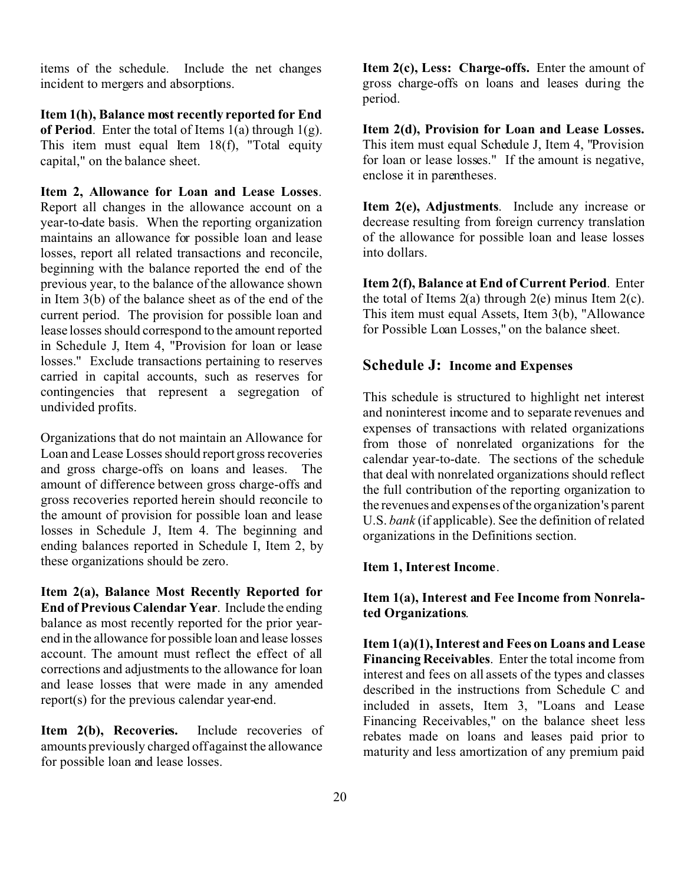items of the schedule. Include the net changes incident to mergers and absorptions.

**Item 1(h), Balance most recently reported for End of Period**. Enter the total of Items 1(a) through 1(g). This item must equal Item 18(f), "Total equity capital," on the balance sheet.

**Item 2, Allowance for Loan and Lease Losses**. Report all changes in the allowance account on a year-to-date basis. When the reporting organization maintains an allowance for possible loan and lease losses, report all related transactions and reconcile, beginning with the balance reported the end of the previous year, to the balance of the allowance shown in Item 3(b) of the balance sheet as of the end of the current period. The provision for possible loan and lease losses should correspond to the amount reported in Schedule J, Item 4, "Provision for loan or lease losses." Exclude transactions pertaining to reserves carried in capital accounts, such as reserves for contingencies that represent a segregation of undivided profits.

Organizations that do not maintain an Allowance for Loan and Lease Losses should report gross recoveries and gross charge-offs on loans and leases. The amount of difference between gross charge-offs and gross recoveries reported herein should reconcile to the amount of provision for possible loan and lease losses in Schedule J, Item 4. The beginning and ending balances reported in Schedule I, Item 2, by these organizations should be zero.

**Item 2(a), Balance Most Recently Reported for End of Previous Calendar Year**. Include the ending balance as most recently reported for the prior yearend in the allowance for possible loan and lease losses account. The amount must reflect the effect of all corrections and adjustments to the allowance for loan and lease losses that were made in any amended report(s) for the previous calendar year-end.

Item 2(b), Recoveries. Include recoveries of amounts previously charged off against the allowance for possible loan and lease losses.

**Item 2(c), Less: Charge-offs.** Enter the amount of gross charge-offs on loans and leases during the period.

**Item 2(d), Provision for Loan and Lease Losses.** This item must equal Schedule J, Item 4, "Provision for loan or lease losses." If the amount is negative, enclose it in parentheses.

**Item 2(e), Adjustments**. Include any increase or decrease resulting from foreign currency translation of the allowance for possible loan and lease losses into dollars.

**Item 2(f), Balance at End of Current Period**. Enter the total of Items  $2(a)$  through  $2(e)$  minus Item  $2(c)$ . This item must equal Assets, Item 3(b), "Allowance for Possible Loan Losses," on the balance sheet.

## **Schedule J: Income and Expenses**

This schedule is structured to highlight net interest and noninterest income and to separate revenues and expenses of transactions with related organizations from those of nonrelated organizations for the calendar year-to-date. The sections of the schedule that deal with nonrelated organizations should reflect the full contribution of the reporting organization to the revenues and expenses of the organization's parent U.S. *bank* (if applicable). See the definition of related organizations in the Definitions section.

#### **Item 1, Interest Income**.

# **Item 1(a), Interest and Fee Income from Nonrelated Organizations**.

**Item 1(a)(1), Interest and Fees on Loans and Lease Financing Receivables**. Enter the total income from interest and fees on all assets of the types and classes described in the instructions from Schedule C and included in assets, Item 3, "Loans and Lease Financing Receivables," on the balance sheet less rebates made on loans and leases paid prior to maturity and less amortization of any premium paid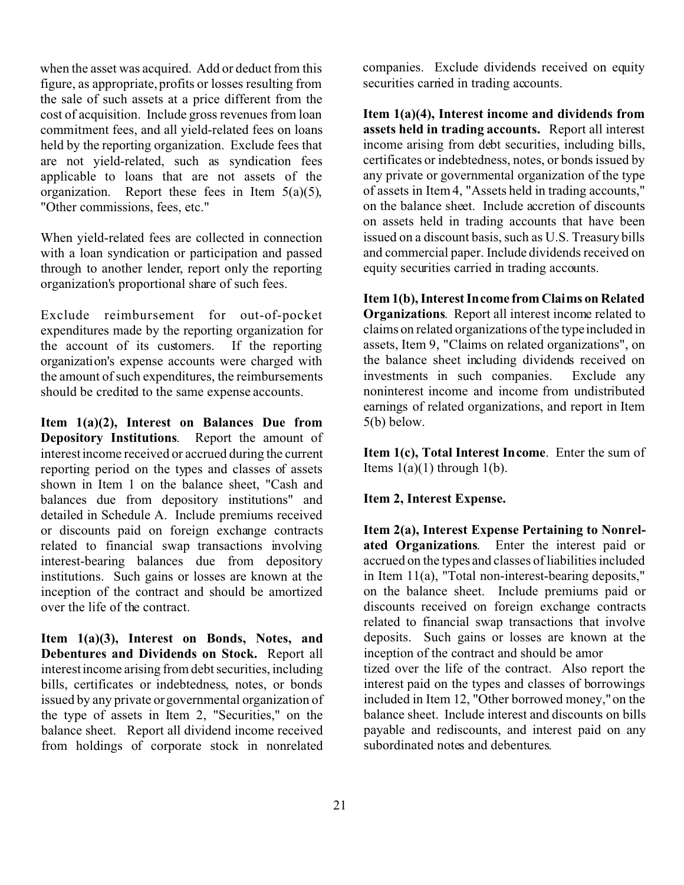when the asset was acquired. Add or deduct from this figure, as appropriate, profits or losses resulting from the sale of such assets at a price different from the cost of acquisition. Include gross revenues from loan commitment fees, and all yield-related fees on loans held by the reporting organization. Exclude fees that are not yield-related, such as syndication fees applicable to loans that are not assets of the organization. Report these fees in Item  $5(a)(5)$ , "Other commissions, fees, etc."

When yield-related fees are collected in connection with a loan syndication or participation and passed through to another lender, report only the reporting organization's proportional share of such fees.

Exclude reimbursement for out-of-pocket expenditures made by the reporting organization for the account of its customers. If the reporting organization's expense accounts were charged with the amount of such expenditures, the reimbursements should be credited to the same expense accounts.

**Item 1(a)(2), Interest on Balances Due from Depository Institutions**. Report the amount of interest income received or accrued during the current reporting period on the types and classes of assets shown in Item 1 on the balance sheet, "Cash and balances due from depository institutions" and detailed in Schedule A. Include premiums received or discounts paid on foreign exchange contracts related to financial swap transactions involving interest-bearing balances due from depository institutions. Such gains or losses are known at the inception of the contract and should be amortized over the life of the contract.

**Item 1(a)(3), Interest on Bonds, Notes, and Debentures and Dividends on Stock.** Report all interest income arising from debt securities, including bills, certificates or indebtedness, notes, or bonds issued by any private or governmental organization of the type of assets in Item 2, "Securities," on the balance sheet. Report all dividend income received from holdings of corporate stock in nonrelated companies. Exclude dividends received on equity securities carried in trading accounts.

**Item 1(a)(4), Interest income and dividends from assets held in trading accounts.** Report all interest income arising from debt securities, including bills, certificates or indebtedness, notes, or bonds issued by any private or governmental organization of the type of assets in Item 4, "Assets held in trading accounts," on the balance sheet. Include accretion of discounts on assets held in trading accounts that have been issued on a discount basis, such as U.S. Treasury bills and commercial paper. Include dividends received on equity securities carried in trading accounts.

**Item 1(b), Interest Income from Claims on Related Organizations**. Report all interest income related to claims on related organizations of the type included in assets, Item 9, "Claims on related organizations", on the balance sheet including dividends received on investments in such companies. Exclude any noninterest income and income from undistributed earnings of related organizations, and report in Item 5(b) below.

**Item 1(c), Total Interest Income**. Enter the sum of Items  $1(a)(1)$  through  $1(b)$ .

**Item 2, Interest Expense.**

**Item 2(a), Interest Expense Pertaining to Nonrelated Organizations**. Enter the interest paid or accrued on the types and classes of liabilities included in Item 11(a), "Total non-interest-bearing deposits," on the balance sheet. Include premiums paid or discounts received on foreign exchange contracts related to financial swap transactions that involve deposits. Such gains or losses are known at the inception of the contract and should be amor tized over the life of the contract. Also report the

interest paid on the types and classes of borrowings included in Item 12, "Other borrowed money," on the balance sheet. Include interest and discounts on bills payable and rediscounts, and interest paid on any subordinated notes and debentures.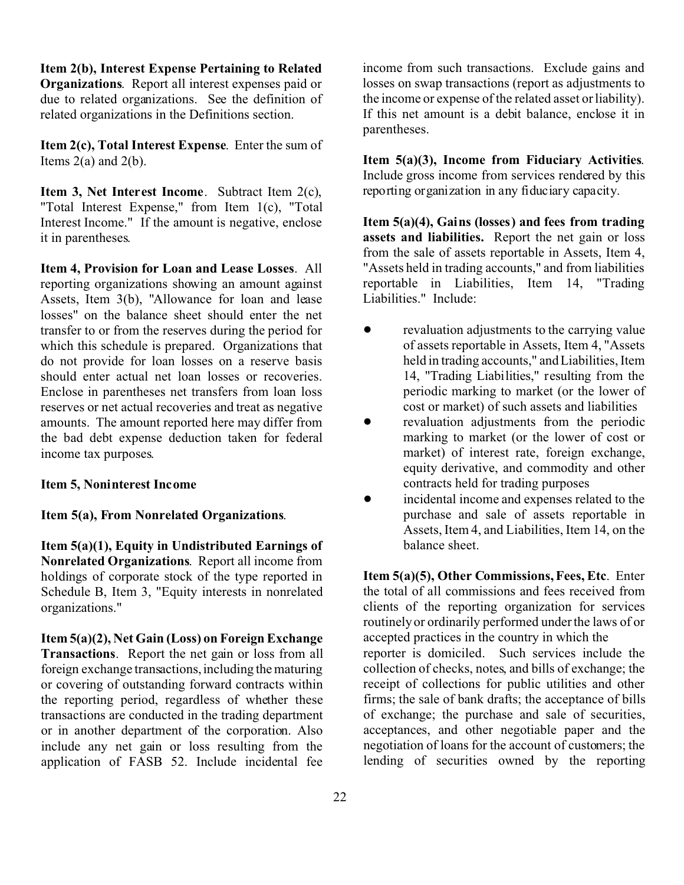**Item 2(b), Interest Expense Pertaining to Related Organizations**. Report all interest expenses paid or due to related organizations. See the definition of related organizations in the Definitions section.

**Item 2(c), Total Interest Expense**. Enter the sum of Items  $2(a)$  and  $2(b)$ .

**Item 3, Net Interest Income**. Subtract Item 2(c), "Total Interest Expense," from Item 1(c), "Total Interest Income." If the amount is negative, enclose it in parentheses.

**Item 4, Provision for Loan and Lease Losses**. All reporting organizations showing an amount against Assets, Item 3(b), "Allowance for loan and lease losses" on the balance sheet should enter the net transfer to or from the reserves during the period for which this schedule is prepared. Organizations that do not provide for loan losses on a reserve basis should enter actual net loan losses or recoveries. Enclose in parentheses net transfers from loan loss reserves or net actual recoveries and treat as negative amounts. The amount reported here may differ from the bad debt expense deduction taken for federal income tax purposes.

#### **Item 5, Noninterest Income**

#### **Item 5(a), From Nonrelated Organizations**.

**Item 5(a)(1), Equity in Undistributed Earnings of Nonrelated Organizations**. Report all income from holdings of corporate stock of the type reported in Schedule B, Item 3, "Equity interests in nonrelated organizations."

**Item 5(a)(2), Net Gain (Loss) on Foreign Exchange Transactions**. Report the net gain or loss from all foreign exchange transactions, including the maturing or covering of outstanding forward contracts within the reporting period, regardless of whether these transactions are conducted in the trading department or in another department of the corporation. Also include any net gain or loss resulting from the application of FASB 52. Include incidental fee income from such transactions. Exclude gains and losses on swap transactions (report as adjustments to the income or expense of the related asset or liability). If this net amount is a debit balance, enclose it in parentheses.

**Item 5(a)(3), Income from Fiduciary Activities**. Include gross income from services rendered by this reporting organization in any fiduciary capacity.

**Item 5(a)(4), Gains (losses) and fees from trading assets and liabilities.** Report the net gain or loss from the sale of assets reportable in Assets, Item 4, "Assets held in trading accounts," and from liabilities reportable in Liabilities, Item 14, "Trading Liabilities." Include:

- ! revaluation adjustments to the carrying value of assets reportable in Assets, Item 4, "Assets held in trading accounts," and Liabilities, Item 14, "Trading Liabilities," resulting from the periodic marking to market (or the lower of cost or market) of such assets and liabilities
- revaluation adjustments from the periodic marking to market (or the lower of cost or market) of interest rate, foreign exchange, equity derivative, and commodity and other contracts held for trading purposes
- incidental income and expenses related to the purchase and sale of assets reportable in Assets, Item 4, and Liabilities, Item 14, on the balance sheet.

**Item 5(a)(5), Other Commissions, Fees, Etc**. Enter the total of all commissions and fees received from clients of the reporting organization for services routinely or ordinarily performed under the laws of or accepted practices in the country in which the reporter is domiciled. Such services include the collection of checks, notes, and bills of exchange; the receipt of collections for public utilities and other firms; the sale of bank drafts; the acceptance of bills of exchange; the purchase and sale of securities, acceptances, and other negotiable paper and the negotiation of loans for the account of customers; the lending of securities owned by the reporting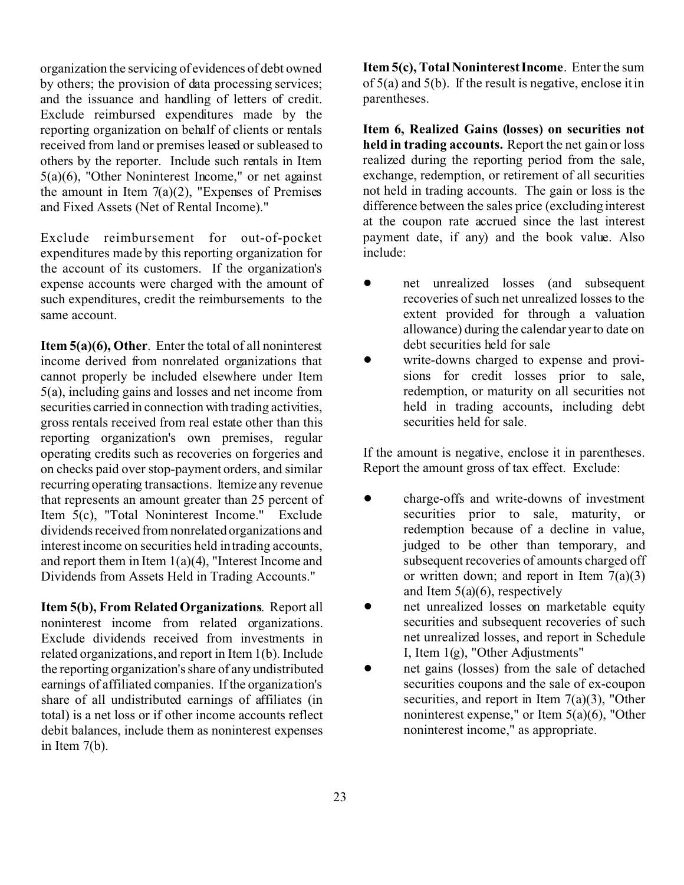organization the servicing of evidences of debt owned by others; the provision of data processing services; and the issuance and handling of letters of credit. Exclude reimbursed expenditures made by the reporting organization on behalf of clients or rentals received from land or premises leased or subleased to others by the reporter. Include such rentals in Item 5(a)(6), "Other Noninterest Income," or net against the amount in Item  $7(a)(2)$ , "Expenses of Premises" and Fixed Assets (Net of Rental Income)."

Exclude reimbursement for out-of-pocket expenditures made by this reporting organization for the account of its customers. If the organization's expense accounts were charged with the amount of such expenditures, credit the reimbursements to the same account.

**Item 5(a)(6), Other**. Enter the total of all noninterest income derived from nonrelated organizations that cannot properly be included elsewhere under Item 5(a), including gains and losses and net income from securities carried in connection with trading activities, gross rentals received from real estate other than this reporting organization's own premises, regular operating credits such as recoveries on forgeries and on checks paid over stop-payment orders, and similar recurring operating transactions. Itemize any revenue that represents an amount greater than 25 percent of Item 5(c), "Total Noninterest Income." Exclude dividends received from nonrelated organizations and interest income on securities held in trading accounts, and report them in Item  $1(a)(4)$ , "Interest Income and Dividends from Assets Held in Trading Accounts."

**Item 5(b), From Related Organizations**. Report all noninterest income from related organizations. Exclude dividends received from investments in related organizations, and report in Item 1(b). Include the reporting organization's share of any undistributed earnings of affiliated companies. If the organization's share of all undistributed earnings of affiliates (in total) is a net loss or if other income accounts reflect debit balances, include them as noninterest expenses in Item 7(b).

**Item 5(c), Total Noninterest Income**. Enter the sum of 5(a) and 5(b). If the result is negative, enclose it in parentheses.

**Item 6, Realized Gains (losses) on securities not held in trading accounts.** Report the net gain or loss realized during the reporting period from the sale, exchange, redemption, or retirement of all securities not held in trading accounts. The gain or loss is the difference between the sales price (excluding interest at the coupon rate accrued since the last interest payment date, if any) and the book value. Also include:

- net unrealized losses (and subsequent recoveries of such net unrealized losses to the extent provided for through a valuation allowance) during the calendar year to date on debt securities held for sale
- write-downs charged to expense and provisions for credit losses prior to sale, redemption, or maturity on all securities not held in trading accounts, including debt securities held for sale.

If the amount is negative, enclose it in parentheses. Report the amount gross of tax effect. Exclude:

- ! charge-offs and write-downs of investment securities prior to sale, maturity, or redemption because of a decline in value, judged to be other than temporary, and subsequent recoveries of amounts charged off or written down; and report in Item  $7(a)(3)$ and Item 5(a)(6), respectively
- net unrealized losses on marketable equity securities and subsequent recoveries of such net unrealized losses, and report in Schedule I, Item 1(g), "Other Adjustments"
- net gains (losses) from the sale of detached securities coupons and the sale of ex-coupon securities, and report in Item  $7(a)(3)$ , "Other noninterest expense," or Item 5(a)(6), "Other noninterest income," as appropriate.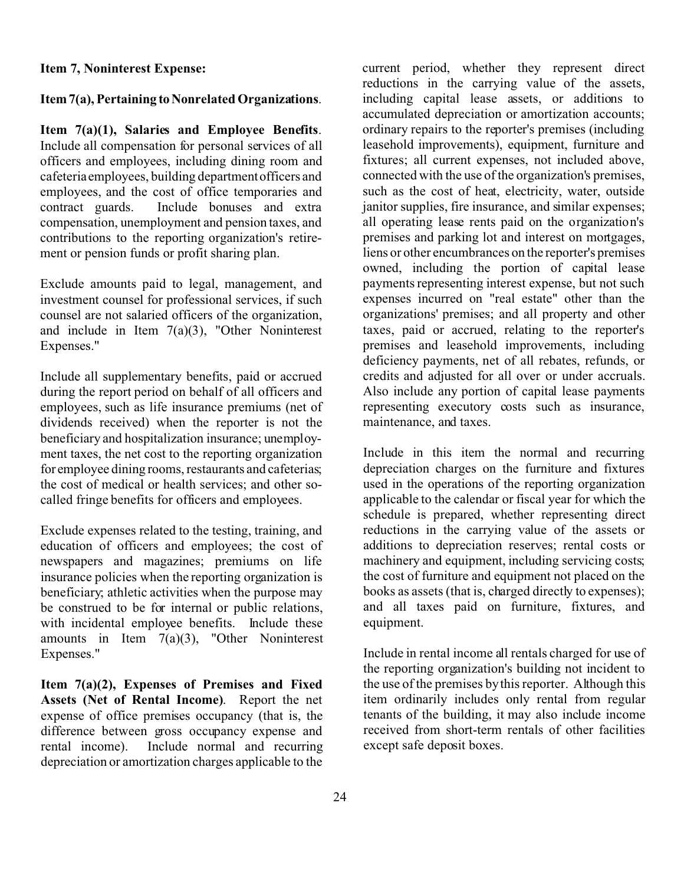#### **Item 7, Noninterest Expense:**

#### **Item 7(a), Pertaining to Nonrelated Organizations.**

**Item 7(a)(1), Salaries and Employee Benefits**. Include all compensation for personal services of all officers and employees, including dining room and cafeteria employees, building department officers and employees, and the cost of office temporaries and contract guards. Include bonuses and extra compensation, unemployment and pension taxes, and contributions to the reporting organization's retirement or pension funds or profit sharing plan.

Exclude amounts paid to legal, management, and investment counsel for professional services, if such counsel are not salaried officers of the organization, and include in Item 7(a)(3), "Other Noninterest Expenses."

Include all supplementary benefits, paid or accrued during the report period on behalf of all officers and employees, such as life insurance premiums (net of dividends received) when the reporter is not the beneficiary and hospitalization insurance; unemployment taxes, the net cost to the reporting organization for employee dining rooms, restaurants and cafeterias; the cost of medical or health services; and other socalled fringe benefits for officers and employees.

Exclude expenses related to the testing, training, and education of officers and employees; the cost of newspapers and magazines; premiums on life insurance policies when the reporting organization is beneficiary; athletic activities when the purpose may be construed to be for internal or public relations, with incidental employee benefits. Include these amounts in Item 7(a)(3), "Other Noninterest Expenses."

**Item 7(a)(2), Expenses of Premises and Fixed Assets (Net of Rental Income)**. Report the net expense of office premises occupancy (that is, the difference between gross occupancy expense and rental income). Include normal and recurring depreciation or amortization charges applicable to the current period, whether they represent direct reductions in the carrying value of the assets, including capital lease assets, or additions to accumulated depreciation or amortization accounts; ordinary repairs to the reporter's premises (including leasehold improvements), equipment, furniture and fixtures; all current expenses, not included above, connected with the use of the organization's premises, such as the cost of heat, electricity, water, outside janitor supplies, fire insurance, and similar expenses; all operating lease rents paid on the organization's premises and parking lot and interest on mortgages, liens or other encumbrances on the reporter's premises owned, including the portion of capital lease payments representing interest expense, but not such expenses incurred on "real estate" other than the organizations' premises; and all property and other taxes, paid or accrued, relating to the reporter's premises and leasehold improvements, including deficiency payments, net of all rebates, refunds, or credits and adjusted for all over or under accruals. Also include any portion of capital lease payments representing executory costs such as insurance, maintenance, and taxes.

Include in this item the normal and recurring depreciation charges on the furniture and fixtures used in the operations of the reporting organization applicable to the calendar or fiscal year for which the schedule is prepared, whether representing direct reductions in the carrying value of the assets or additions to depreciation reserves; rental costs or machinery and equipment, including servicing costs; the cost of furniture and equipment not placed on the books as assets (that is, charged directly to expenses); and all taxes paid on furniture, fixtures, and equipment.

Include in rental income all rentals charged for use of the reporting organization's building not incident to the use of the premises by this reporter. Although this item ordinarily includes only rental from regular tenants of the building, it may also include income received from short-term rentals of other facilities except safe deposit boxes.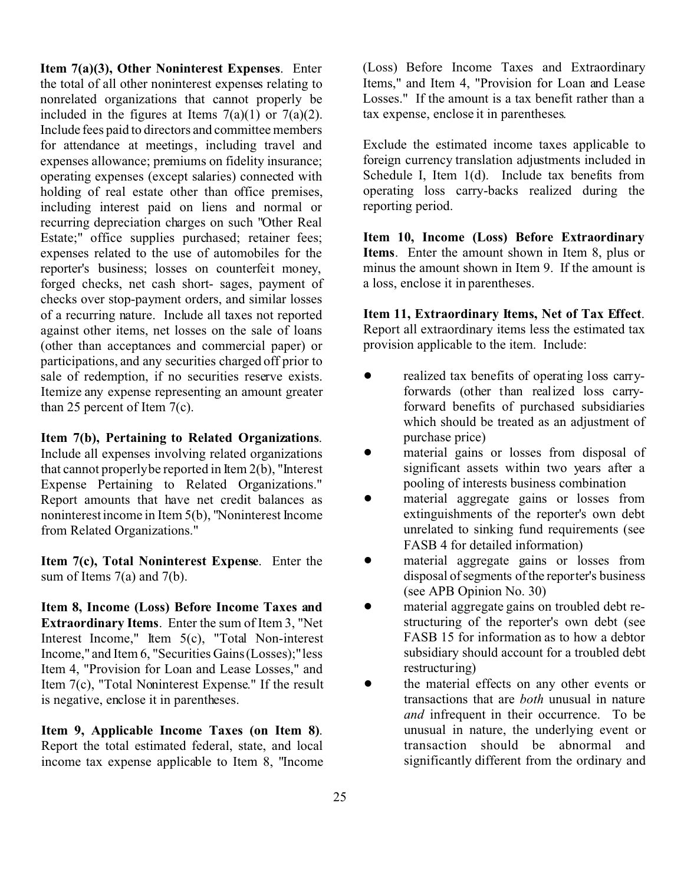**Item 7(a)(3), Other Noninterest Expenses**. Enter the total of all other noninterest expenses relating to nonrelated organizations that cannot properly be included in the figures at Items  $7(a)(1)$  or  $7(a)(2)$ . Include fees paid to directors and committee members for attendance at meetings, including travel and expenses allowance; premiums on fidelity insurance; operating expenses (except salaries) connected with holding of real estate other than office premises, including interest paid on liens and normal or recurring depreciation charges on such "Other Real Estate;" office supplies purchased; retainer fees; expenses related to the use of automobiles for the reporter's business; losses on counterfeit money, forged checks, net cash short- sages, payment of checks over stop-payment orders, and similar losses of a recurring nature. Include all taxes not reported against other items, net losses on the sale of loans (other than acceptances and commercial paper) or participations, and any securities charged off prior to sale of redemption, if no securities reserve exists. Itemize any expense representing an amount greater than 25 percent of Item 7(c).

#### **Item 7(b), Pertaining to Related Organizations**.

Include all expenses involving related organizations that cannot properly be reported in Item 2(b), "Interest Expense Pertaining to Related Organizations." Report amounts that have net credit balances as noninterest income in Item 5(b), "Noninterest Income from Related Organizations."

**Item 7(c), Total Noninterest Expense**. Enter the sum of Items  $7(a)$  and  $7(b)$ .

**Item 8, Income (Loss) Before Income Taxes and Extraordinary Items**. Enter the sum of Item 3, "Net Interest Income," Item 5(c), "Total Non-interest Income," and Item 6, "Securities Gains (Losses);" less Item 4, "Provision for Loan and Lease Losses," and Item 7(c), "Total Noninterest Expense." If the result is negative, enclose it in parentheses.

**Item 9, Applicable Income Taxes (on Item 8)**. Report the total estimated federal, state, and local income tax expense applicable to Item 8, "Income (Loss) Before Income Taxes and Extraordinary Items," and Item 4, "Provision for Loan and Lease Losses." If the amount is a tax benefit rather than a tax expense, enclose it in parentheses.

Exclude the estimated income taxes applicable to foreign currency translation adjustments included in Schedule I, Item 1(d). Include tax benefits from operating loss carry-backs realized during the reporting period.

**Item 10, Income (Loss) Before Extraordinary Items**. Enter the amount shown in Item 8, plus or minus the amount shown in Item 9. If the amount is a loss, enclose it in parentheses.

**Item 11, Extraordinary Items, Net of Tax Effect**. Report all extraordinary items less the estimated tax provision applicable to the item. Include:

- realized tax benefits of operating loss carryforwards (other than realized loss carryforward benefits of purchased subsidiaries which should be treated as an adjustment of purchase price)
- material gains or losses from disposal of significant assets within two years after a pooling of interests business combination
- material aggregate gains or losses from extinguishments of the reporter's own debt unrelated to sinking fund requirements (see FASB 4 for detailed information)
- $\bullet$  material aggregate gains or losses from disposal of segments of the reporter's business (see APB Opinion No. 30)
- $\bullet$  material aggregate gains on troubled debt restructuring of the reporter's own debt (see FASB 15 for information as to how a debtor subsidiary should account for a troubled debt restructuring)
- the material effects on any other events or transactions that are *both* unusual in nature *and* infrequent in their occurrence. To be unusual in nature, the underlying event or transaction should be abnormal and significantly different from the ordinary and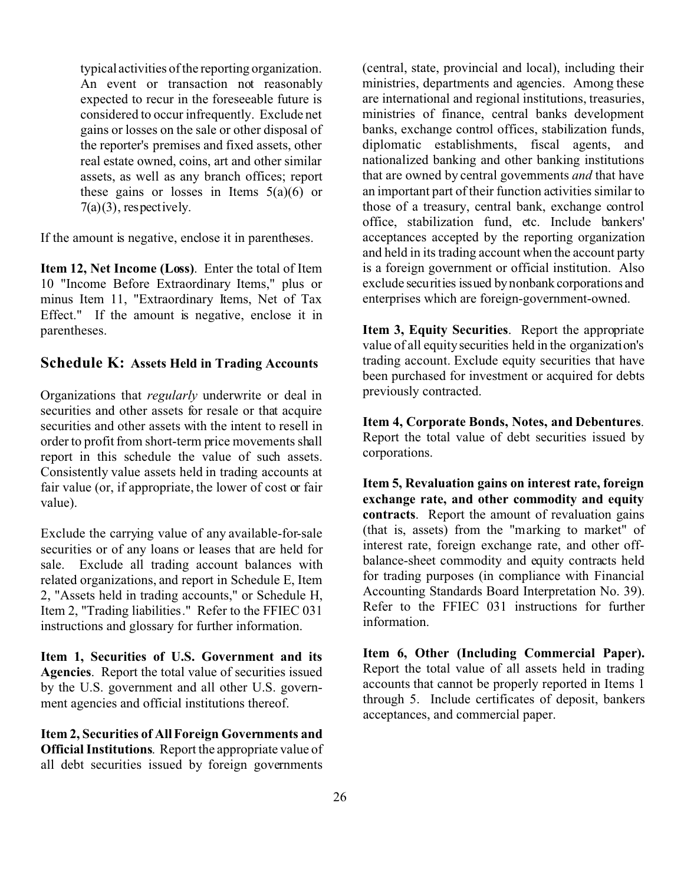typical activities of the reporting organization. An event or transaction not reasonably expected to recur in the foreseeable future is considered to occur infrequently. Exclude net gains or losses on the sale or other disposal of the reporter's premises and fixed assets, other real estate owned, coins, art and other similar assets, as well as any branch offices; report these gains or losses in Items  $5(a)(6)$  or  $7(a)(3)$ , respectively.

If the amount is negative, enclose it in parentheses.

**Item 12, Net Income (Loss)**. Enter the total of Item 10 "Income Before Extraordinary Items," plus or minus Item 11, "Extraordinary Items, Net of Tax Effect." If the amount is negative, enclose it in parentheses.

#### **Schedule K: Assets Held in Trading Accounts**

Organizations that *regularly* underwrite or deal in securities and other assets for resale or that acquire securities and other assets with the intent to resell in order to profit from short-term price movements shall report in this schedule the value of such assets. Consistently value assets held in trading accounts at fair value (or, if appropriate, the lower of cost or fair value).

Exclude the carrying value of any available-for-sale securities or of any loans or leases that are held for sale. Exclude all trading account balances with related organizations, and report in Schedule E, Item 2, "Assets held in trading accounts," or Schedule H, Item 2, "Trading liabilities." Refer to the FFIEC 031 instructions and glossary for further information.

**Item 1, Securities of U.S. Government and its Agencies**. Report the total value of securities issued by the U.S. government and all other U.S. government agencies and official institutions thereof.

**Item 2, Securities of All Foreign Governments and Official Institutions**. Report the appropriate value of all debt securities issued by foreign governments (central, state, provincial and local), including their ministries, departments and agencies. Among these are international and regional institutions, treasuries, ministries of finance, central banks development banks, exchange control offices, stabilization funds, diplomatic establishments, fiscal agents, and nationalized banking and other banking institutions that are owned by central governments *and* that have an important part of their function activities similar to those of a treasury, central bank, exchange control office, stabilization fund, etc. Include bankers' acceptances accepted by the reporting organization and held in its trading account when the account party is a foreign government or official institution. Also exclude securities issued by nonbank corporations and enterprises which are foreign-government-owned.

**Item 3, Equity Securities**. Report the appropriate value of all equity securities held in the organization's trading account. Exclude equity securities that have been purchased for investment or acquired for debts previously contracted.

**Item 4, Corporate Bonds, Notes, and Debentures**. Report the total value of debt securities issued by corporations.

**Item 5, Revaluation gains on interest rate, foreign exchange rate, and other commodity and equity contracts**. Report the amount of revaluation gains (that is, assets) from the "marking to market" of interest rate, foreign exchange rate, and other offbalance-sheet commodity and equity contracts held for trading purposes (in compliance with Financial Accounting Standards Board Interpretation No. 39). Refer to the FFIEC 031 instructions for further information.

**Item 6, Other (Including Commercial Paper).** Report the total value of all assets held in trading accounts that cannot be properly reported in Items 1 through 5. Include certificates of deposit, bankers acceptances, and commercial paper.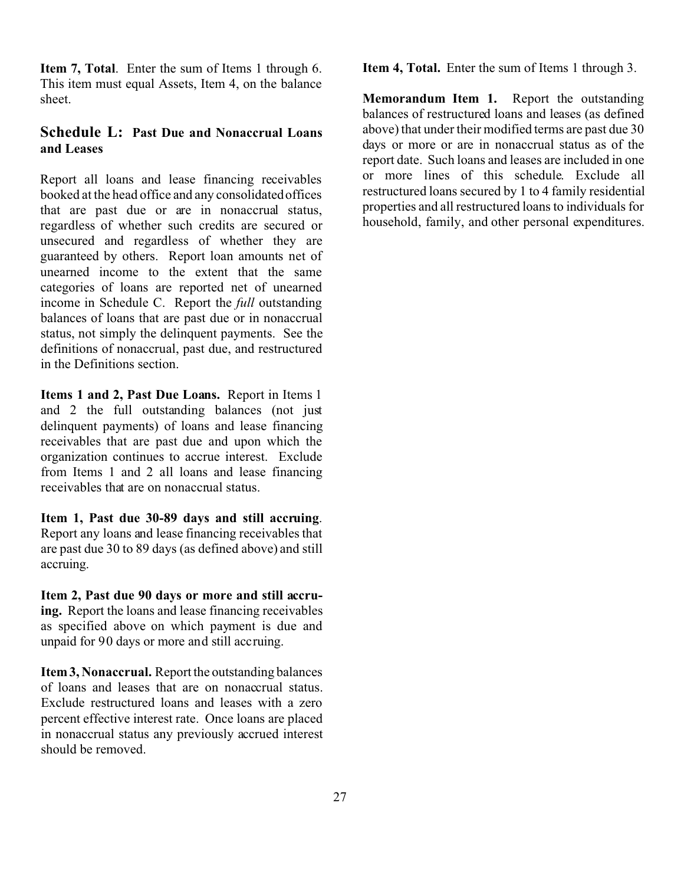**Item 7, Total**. Enter the sum of Items 1 through 6. This item must equal Assets, Item 4, on the balance sheet.

# **Schedule L: Past Due and Nonaccrual Loans and Leases**

Report all loans and lease financing receivables booked at the head office and any consolidated offices that are past due or are in nonaccrual status, regardless of whether such credits are secured or unsecured and regardless of whether they are guaranteed by others. Report loan amounts net of unearned income to the extent that the same categories of loans are reported net of unearned income in Schedule C. Report the *full* outstanding balances of loans that are past due or in nonaccrual status, not simply the delinquent payments. See the definitions of nonaccrual, past due, and restructured in the Definitions section.

**Items 1 and 2, Past Due Loans.** Report in Items 1 and 2 the full outstanding balances (not just delinquent payments) of loans and lease financing receivables that are past due and upon which the organization continues to accrue interest. Exclude from Items 1 and 2 all loans and lease financing receivables that are on nonaccrual status.

**Item 1, Past due 30-89 days and still accruing**. Report any loans and lease financing receivables that are past due 30 to 89 days (as defined above) and still accruing.

**Item 2, Past due 90 days or more and still accruing.** Report the loans and lease financing receivables as specified above on which payment is due and unpaid for 90 days or more and still accruing.

**Item 3, Nonaccrual.** Report the outstanding balances of loans and leases that are on nonaccrual status. Exclude restructured loans and leases with a zero percent effective interest rate. Once loans are placed in nonaccrual status any previously accrued interest should be removed.

**Item 4, Total.** Enter the sum of Items 1 through 3.

**Memorandum Item 1.** Report the outstanding balances of restructured loans and leases (as defined above) that under their modified terms are past due 30 days or more or are in nonaccrual status as of the report date. Such loans and leases are included in one or more lines of this schedule. Exclude all restructured loans secured by 1 to 4 family residential properties and all restructured loans to individuals for household, family, and other personal expenditures.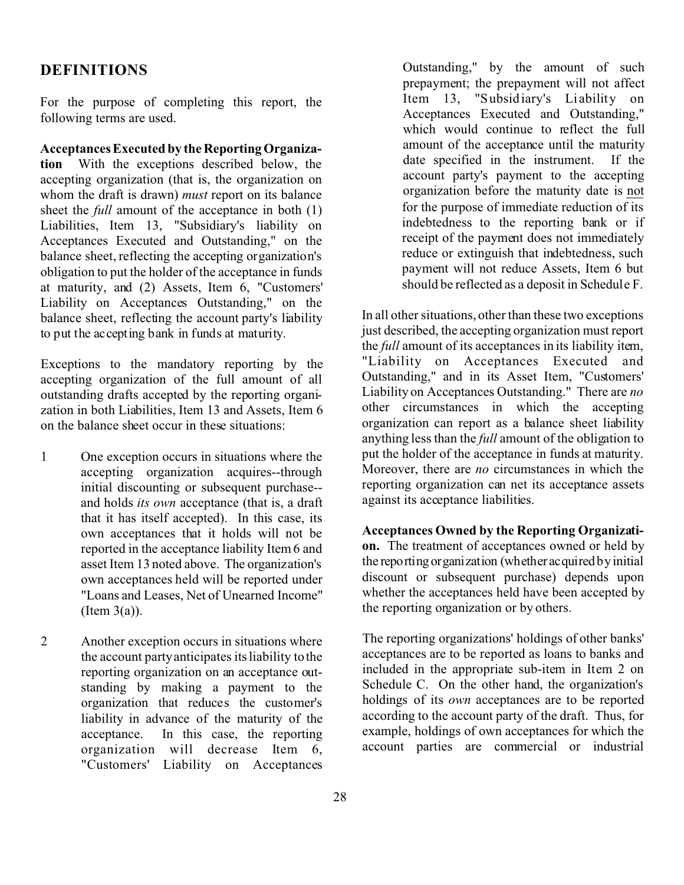# **DEFINITIONS**

For the purpose of completing this report, the following terms are used.

**Acceptances Executed by the Reporting Organization** With the exceptions described below, the accepting organization (that is, the organization on whom the draft is drawn) *must* report on its balance sheet the *full* amount of the acceptance in both (1) Liabilities, Item 13, "Subsidiary's liability on Acceptances Executed and Outstanding," on the balance sheet, reflecting the accepting organization's obligation to put the holder of the acceptance in funds at maturity, and (2) Assets, Item 6, "Customers' Liability on Acceptances Outstanding," on the balance sheet, reflecting the account party's liability to put the accepting bank in funds at maturity.

Exceptions to the mandatory reporting by the accepting organization of the full amount of all outstanding drafts accepted by the reporting organization in both Liabilities, Item 13 and Assets, Item 6 on the balance sheet occur in these situations:

- 1 One exception occurs in situations where the accepting organization acquires--through initial discounting or subsequent purchase- and holds *its own* acceptance (that is, a draft that it has itself accepted). In this case, its own acceptances that it holds will not be reported in the acceptance liability Item 6 and asset Item 13 noted above. The organization's own acceptances held will be reported under "Loans and Leases, Net of Unearned Income" (Item  $3(a)$ ).
- 2 Another exception occurs in situations where the account party anticipates its liability to the reporting organization on an acceptance outstanding by making a payment to the organization that reduces the customer's liability in advance of the maturity of the acceptance. In this case, the reporting organization will decrease Item 6, "Customers' Liability on Acceptances

Outstanding," by the amount of such prepayment; the prepayment will not affect Item 13, "Subsidiary's Li ability on Acceptances Executed and Outstanding," which would continue to reflect the full amount of the acceptance until the maturity date specified in the instrument. If the account party's payment to the accepting organization before the maturity date is not for the purpose of immediate reduction of its indebtedness to the reporting bank or if receipt of the payment does not immediately reduce or extinguish that indebtedness, such payment will not reduce Assets, Item 6 but should be reflected as a deposit in Schedule F.

In all other situations, other than these two exceptions just described, the accepting organization must report the *full* amount of its acceptances in its liability item, "Liability on Acceptances Executed and Outstanding," and in its Asset Item, "Customers' Liability on Acceptances Outstanding." There are *no* other circumstances in which the accepting organization can report as a balance sheet liability anything less than the *full* amount of the obligation to put the holder of the acceptance in funds at maturity. Moreover, there are *no* circumstances in which the reporting organization can net its acceptance assets against its acceptance liabilities.

**Acceptances Owned by the Reporting Organization.** The treatment of acceptances owned or held by the reporting organization (whether acquired by initial discount or subsequent purchase) depends upon whether the acceptances held have been accepted by the reporting organization or by others.

The reporting organizations' holdings of other banks' acceptances are to be reported as loans to banks and included in the appropriate sub-item in Item 2 on Schedule C. On the other hand, the organization's holdings of its *own* acceptances are to be reported according to the account party of the draft. Thus, for example, holdings of own acceptances for which the account parties are commercial or industrial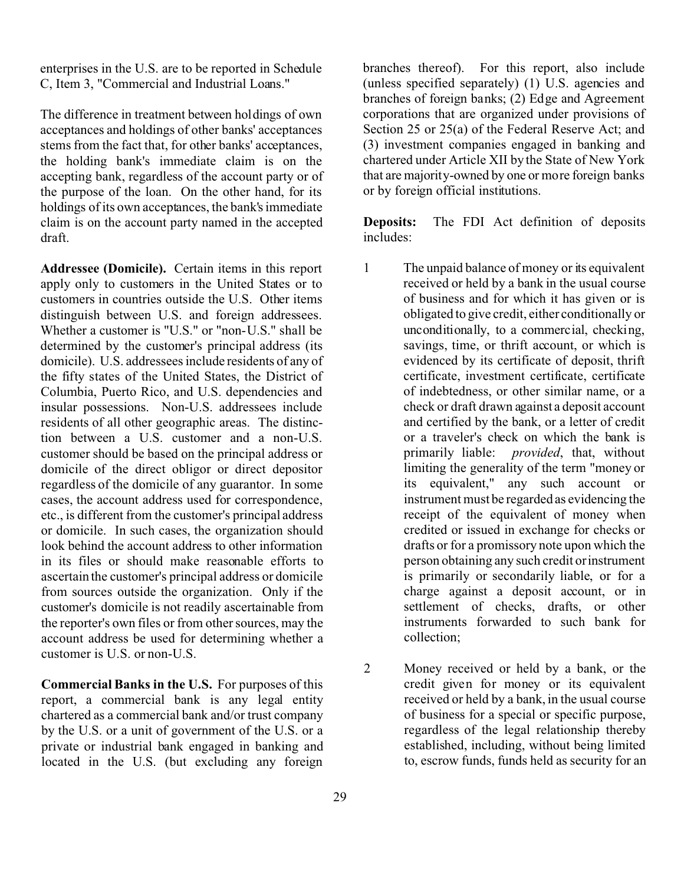enterprises in the U.S. are to be reported in Schedule C, Item 3, "Commercial and Industrial Loans."

The difference in treatment between holdings of own acceptances and holdings of other banks' acceptances stems from the fact that, for other banks' acceptances, the holding bank's immediate claim is on the accepting bank, regardless of the account party or of the purpose of the loan. On the other hand, for its holdings of its own acceptances, the bank's immediate claim is on the account party named in the accepted draft.

**Addressee (Domicile).** Certain items in this report apply only to customers in the United States or to customers in countries outside the U.S. Other items distinguish between U.S. and foreign addressees. Whether a customer is "U.S." or "non-U.S." shall be determined by the customer's principal address (its domicile). U.S. addressees include residents of any of the fifty states of the United States, the District of Columbia, Puerto Rico, and U.S. dependencies and insular possessions. Non-U.S. addressees include residents of all other geographic areas. The distinction between a U.S. customer and a non-U.S. customer should be based on the principal address or domicile of the direct obligor or direct depositor regardless of the domicile of any guarantor. In some cases, the account address used for correspondence, etc., is different from the customer's principal address or domicile. In such cases, the organization should look behind the account address to other information in its files or should make reasonable efforts to ascertain the customer's principal address or domicile from sources outside the organization. Only if the customer's domicile is not readily ascertainable from the reporter's own files or from other sources, may the account address be used for determining whether a customer is U.S. or non-U.S.

**Commercial Banks in the U.S.** For purposes of this report, a commercial bank is any legal entity chartered as a commercial bank and/or trust company by the U.S. or a unit of government of the U.S. or a private or industrial bank engaged in banking and located in the U.S. (but excluding any foreign

branches thereof). For this report, also include (unless specified separately) (1) U.S. agencies and branches of foreign banks; (2) Edge and Agreement corporations that are organized under provisions of Section 25 or 25(a) of the Federal Reserve Act; and (3) investment companies engaged in banking and chartered under Article XII by the State of New York that are majority-owned by one or more foreign banks or by foreign official institutions.

**Deposits:** The FDI Act definition of deposits includes:

- 1 The unpaid balance of money or its equivalent received or held by a bank in the usual course of business and for which it has given or is obligated to give credit, either conditionally or unconditionally, to a commercial, checking, savings, time, or thrift account, or which is evidenced by its certificate of deposit, thrift certificate, investment certificate, certificate of indebtedness, or other similar name, or a check or draft drawn against a deposit account and certified by the bank, or a letter of credit or a traveler's check on which the bank is primarily liable: *provided*, that, without limiting the generality of the term "money or its equivalent," any such account or instrument must be regarded as evidencing the receipt of the equivalent of money when credited or issued in exchange for checks or drafts or for a promissory note upon which the person obtaining any such credit or instrument is primarily or secondarily liable, or for a charge against a deposit account, or in settlement of checks, drafts, or other instruments forwarded to such bank for collection;
- 2 Money received or held by a bank, or the credit given for money or its equivalent received or held by a bank, in the usual course of business for a special or specific purpose, regardless of the legal relationship thereby established, including, without being limited to, escrow funds, funds held as security for an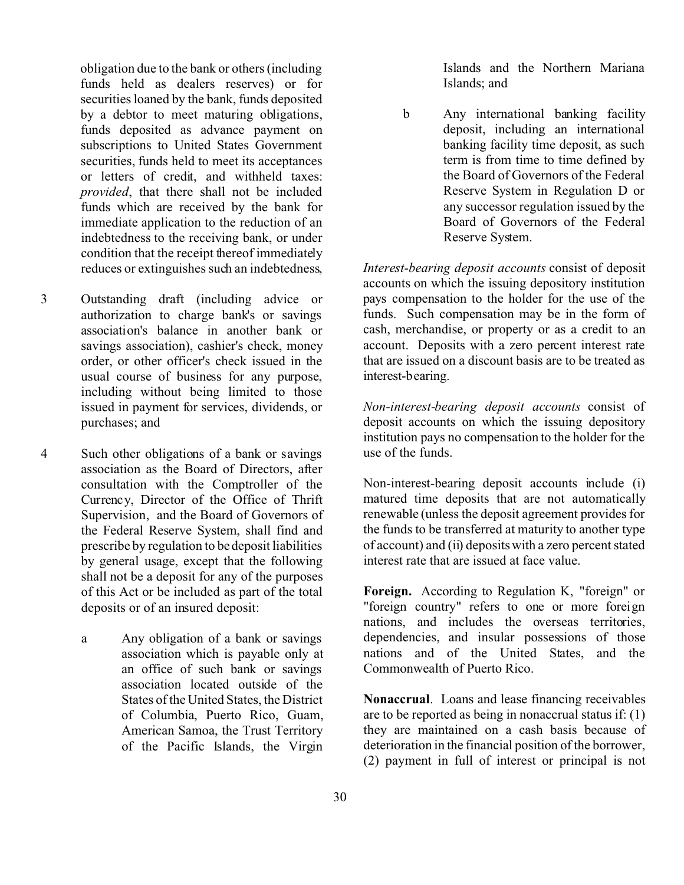obligation due to the bank or others (including funds held as dealers reserves) or for securities loaned by the bank, funds deposited by a debtor to meet maturing obligations, funds deposited as advance payment on subscriptions to United States Government securities, funds held to meet its acceptances or letters of credit, and withheld taxes: *provided*, that there shall not be included funds which are received by the bank for immediate application to the reduction of an indebtedness to the receiving bank, or under condition that the receipt thereof immediately reduces or extinguishes such an indebtedness,

- 3 Outstanding draft (including advice or authorization to charge bank's or savings association's balance in another bank or savings association), cashier's check, money order, or other officer's check issued in the usual course of business for any purpose, including without being limited to those issued in payment for services, dividends, or purchases; and
- 4 Such other obligations of a bank or savings association as the Board of Directors, after consultation with the Comptroller of the Currency, Director of the Office of Thrift Supervision, and the Board of Governors of the Federal Reserve System, shall find and prescribe by regulation to be deposit liabilities by general usage, except that the following shall not be a deposit for any of the purposes of this Act or be included as part of the total deposits or of an insured deposit:
	- a Any obligation of a bank or savings association which is payable only at an office of such bank or savings association located outside of the States of the United States, the District of Columbia, Puerto Rico, Guam, American Samoa, the Trust Territory of the Pacific Islands, the Virgin

Islands and the Northern Mariana Islands; and

b Any international banking facility deposit, including an international banking facility time deposit, as such term is from time to time defined by the Board of Governors of the Federal Reserve System in Regulation D or any successor regulation issued by the Board of Governors of the Federal Reserve System.

*Interest-bearing deposit accounts* consist of deposit accounts on which the issuing depository institution pays compensation to the holder for the use of the funds. Such compensation may be in the form of cash, merchandise, or property or as a credit to an account. Deposits with a zero percent interest rate that are issued on a discount basis are to be treated as interest-bearing.

*Non-interest-bearing deposit accounts* consist of deposit accounts on which the issuing depository institution pays no compensation to the holder for the use of the funds.

Non-interest-bearing deposit accounts include (i) matured time deposits that are not automatically renewable (unless the deposit agreement provides for the funds to be transferred at maturity to another type of account) and (ii) deposits with a zero percent stated interest rate that are issued at face value.

**Foreign.** According to Regulation K, "foreign" or "foreign country" refers to one or more foreign nations, and includes the overseas territories, dependencies, and insular possessions of those nations and of the United States, and the Commonwealth of Puerto Rico.

**Nonaccrual**. Loans and lease financing receivables are to be reported as being in nonaccrual status if: (1) they are maintained on a cash basis because of deterioration in the financial position of the borrower, (2) payment in full of interest or principal is not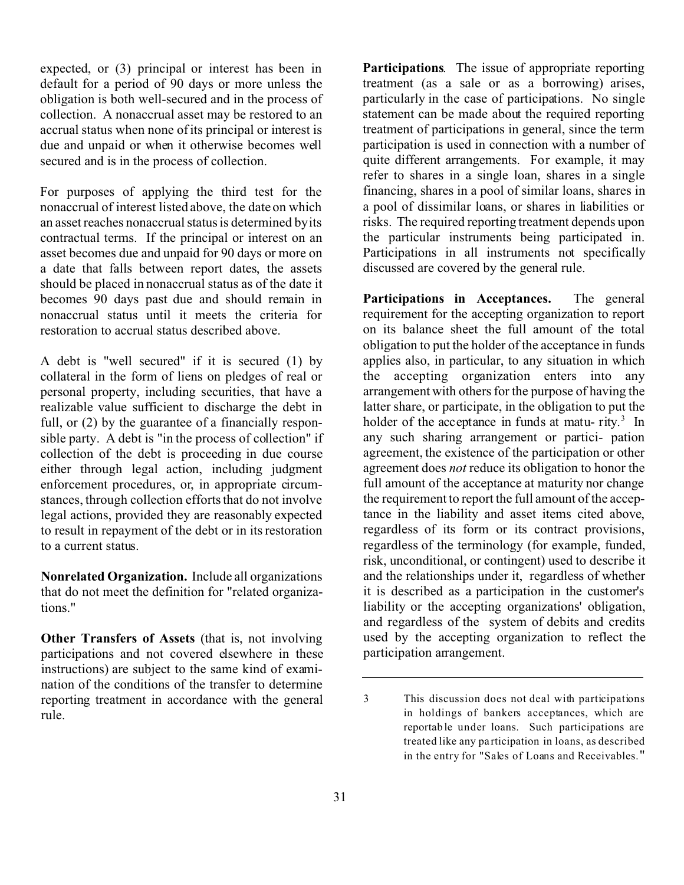expected, or (3) principal or interest has been in default for a period of 90 days or more unless the obligation is both well-secured and in the process of collection. A nonaccrual asset may be restored to an accrual status when none of its principal or interest is due and unpaid or when it otherwise becomes well secured and is in the process of collection.

For purposes of applying the third test for the nonaccrual of interest listed above, the date on which an asset reaches nonaccrual status is determined by its contractual terms. If the principal or interest on an asset becomes due and unpaid for 90 days or more on a date that falls between report dates, the assets should be placed in nonaccrual status as of the date it becomes 90 days past due and should remain in nonaccrual status until it meets the criteria for restoration to accrual status described above.

A debt is "well secured" if it is secured (1) by collateral in the form of liens on pledges of real or personal property, including securities, that have a realizable value sufficient to discharge the debt in full, or (2) by the guarantee of a financially responsible party. A debt is "in the process of collection" if collection of the debt is proceeding in due course either through legal action, including judgment enforcement procedures, or, in appropriate circumstances, through collection efforts that do not involve legal actions, provided they are reasonably expected to result in repayment of the debt or in its restoration to a current status.

**Nonrelated Organization.** Include all organizations that do not meet the definition for "related organizations."

**Other Transfers of Assets** (that is, not involving participations and not covered elsewhere in these instructions) are subject to the same kind of examination of the conditions of the transfer to determine reporting treatment in accordance with the general rule.

**Participations**. The issue of appropriate reporting treatment (as a sale or as a borrowing) arises, particularly in the case of participations. No single statement can be made about the required reporting treatment of participations in general, since the term participation is used in connection with a number of quite different arrangements. For example, it may refer to shares in a single loan, shares in a single financing, shares in a pool of similar loans, shares in a pool of dissimilar loans, or shares in liabilities or risks. The required reporting treatment depends upon the particular instruments being participated in. Participations in all instruments not specifically discussed are covered by the general rule.

**Participations in Acceptances.** The general requirement for the accepting organization to report on its balance sheet the full amount of the total obligation to put the holder of the acceptance in funds applies also, in particular, to any situation in which the accepting organization enters into any arrangement with others for the purpose of having the latter share, or participate, in the obligation to put the holder of the acceptance in funds at matu-rity.<sup>3</sup> In any such sharing arrangement or partici- pation agreement, the existence of the participation or other agreement does *not* reduce its obligation to honor the full amount of the acceptance at maturity nor change the requirement to report the full amount of the acceptance in the liability and asset items cited above, regardless of its form or its contract provisions, regardless of the terminology (for example, funded, risk, unconditional, or contingent) used to describe it and the relationships under it, regardless of whether it is described as a participation in the customer's liability or the accepting organizations' obligation, and regardless of the system of debits and credits used by the accepting organization to reflect the participation arrangement.

<sup>3</sup> This discussion does not deal with participations in holdings of bankers acceptances, which are reportab le under loans. Such participations are treated like any pa rticipation in loans, as described in the entry for "Sales of Loans and Receivables."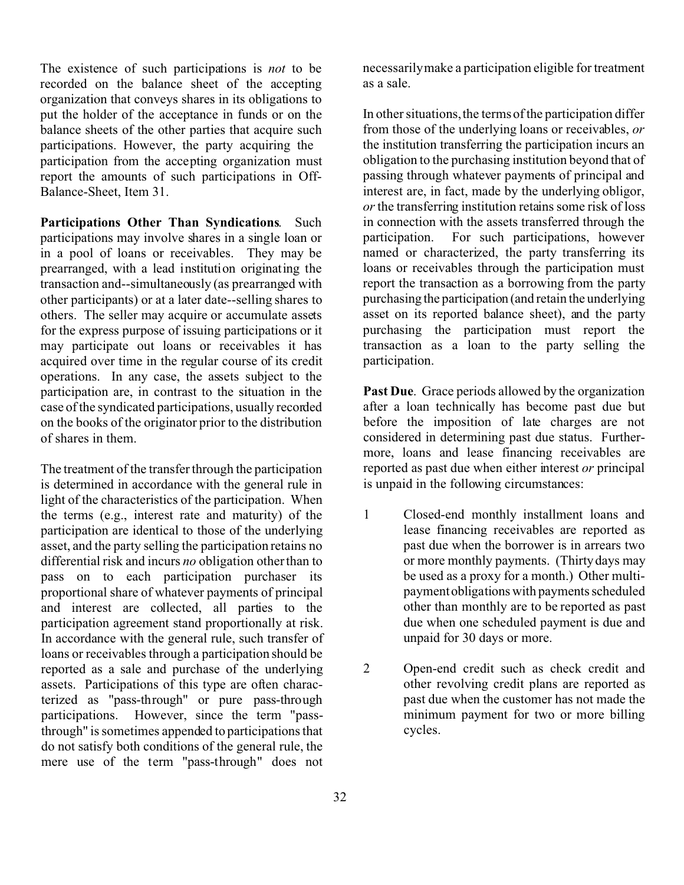The existence of such participations is *not* to be recorded on the balance sheet of the accepting organization that conveys shares in its obligations to put the holder of the acceptance in funds or on the balance sheets of the other parties that acquire such participations. However, the party acquiring the participation from the accepting organization must report the amounts of such participations in Off-Balance-Sheet, Item 31.

**Participations Other Than Syndications**. Such participations may involve shares in a single loan or in a pool of loans or receivables. They may be prearranged, with a lead institution originating the transaction and--simultaneously (as prearranged with other participants) or at a later date--selling shares to others. The seller may acquire or accumulate assets for the express purpose of issuing participations or it may participate out loans or receivables it has acquired over time in the regular course of its credit operations. In any case, the assets subject to the participation are, in contrast to the situation in the case of the syndicated participations, usually recorded on the books of the originator prior to the distribution of shares in them.

The treatment of the transfer through the participation is determined in accordance with the general rule in light of the characteristics of the participation. When the terms (e.g., interest rate and maturity) of the participation are identical to those of the underlying asset, and the party selling the participation retains no differential risk and incurs *no* obligation other than to pass on to each participation purchaser its proportional share of whatever payments of principal and interest are collected, all parties to the participation agreement stand proportionally at risk. In accordance with the general rule, such transfer of loans or receivables through a participation should be reported as a sale and purchase of the underlying assets. Participations of this type are often characterized as "pass-through" or pure pass-through participations. However, since the term "passthrough" is sometimes appended to participations that do not satisfy both conditions of the general rule, the mere use of the term "pass-through" does not

necessarily make a participation eligible for treatment as a sale.

In other situations, the terms of the participation differ from those of the underlying loans or receivables, *or* the institution transferring the participation incurs an obligation to the purchasing institution beyond that of passing through whatever payments of principal and interest are, in fact, made by the underlying obligor, *or* the transferring institution retains some risk of loss in connection with the assets transferred through the participation. For such participations, however named or characterized, the party transferring its loans or receivables through the participation must report the transaction as a borrowing from the party purchasing the participation (and retain the underlying asset on its reported balance sheet), and the party purchasing the participation must report the transaction as a loan to the party selling the participation.

**Past Due**. Grace periods allowed by the organization after a loan technically has become past due but before the imposition of late charges are not considered in determining past due status. Furthermore, loans and lease financing receivables are reported as past due when either interest *or* principal is unpaid in the following circumstances:

- 1 Closed-end monthly installment loans and lease financing receivables are reported as past due when the borrower is in arrears two or more monthly payments. (Thirty days may be used as a proxy for a month.) Other multipayment obligations with payments scheduled other than monthly are to be reported as past due when one scheduled payment is due and unpaid for 30 days or more.
- 2 Open-end credit such as check credit and other revolving credit plans are reported as past due when the customer has not made the minimum payment for two or more billing cycles.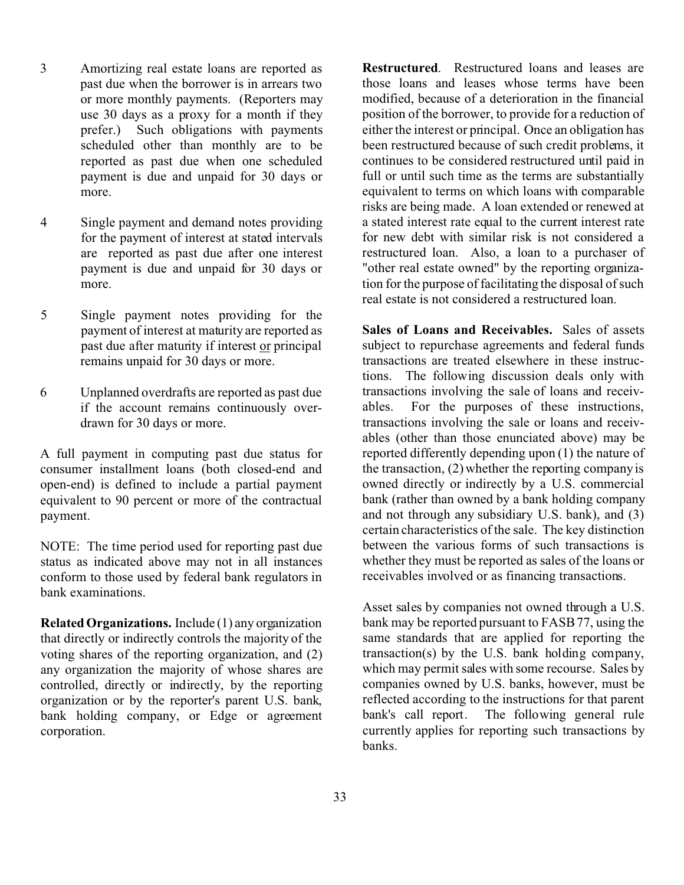- 3 Amortizing real estate loans are reported as past due when the borrower is in arrears two or more monthly payments. (Reporters may use 30 days as a proxy for a month if they prefer.) Such obligations with payments scheduled other than monthly are to be reported as past due when one scheduled payment is due and unpaid for 30 days or more.
- 4 Single payment and demand notes providing for the payment of interest at stated intervals are reported as past due after one interest payment is due and unpaid for 30 days or more.
- 5 Single payment notes providing for the payment of interest at maturity are reported as past due after maturity if interest or principal remains unpaid for 30 days or more.
- 6 Unplanned overdrafts are reported as past due if the account remains continuously overdrawn for 30 days or more.

A full payment in computing past due status for consumer installment loans (both closed-end and open-end) is defined to include a partial payment equivalent to 90 percent or more of the contractual payment.

NOTE: The time period used for reporting past due status as indicated above may not in all instances conform to those used by federal bank regulators in bank examinations.

**Related Organizations.** Include (1) any organization that directly or indirectly controls the majority of the voting shares of the reporting organization, and (2) any organization the majority of whose shares are controlled, directly or indirectly, by the reporting organization or by the reporter's parent U.S. bank, bank holding company, or Edge or agreement corporation.

**Restructured**. Restructured loans and leases are those loans and leases whose terms have been modified, because of a deterioration in the financial position of the borrower, to provide for a reduction of either the interest or principal. Once an obligation has been restructured because of such credit problems, it continues to be considered restructured until paid in full or until such time as the terms are substantially equivalent to terms on which loans with comparable risks are being made. A loan extended or renewed at a stated interest rate equal to the current interest rate for new debt with similar risk is not considered a restructured loan. Also, a loan to a purchaser of "other real estate owned" by the reporting organization for the purpose of facilitating the disposal of such real estate is not considered a restructured loan.

**Sales of Loans and Receivables.** Sales of assets subject to repurchase agreements and federal funds transactions are treated elsewhere in these instructions. The following discussion deals only with transactions involving the sale of loans and receivables. For the purposes of these instructions, transactions involving the sale or loans and receivables (other than those enunciated above) may be reported differently depending upon (1) the nature of the transaction, (2) whether the reporting company is owned directly or indirectly by a U.S. commercial bank (rather than owned by a bank holding company and not through any subsidiary U.S. bank), and (3) certain characteristics of the sale. The key distinction between the various forms of such transactions is whether they must be reported as sales of the loans or receivables involved or as financing transactions.

Asset sales by companies not owned through a U.S. bank may be reported pursuant to FASB 77, using the same standards that are applied for reporting the transaction(s) by the U.S. bank holding company, which may permit sales with some recourse. Sales by companies owned by U.S. banks, however, must be reflected according to the instructions for that parent bank's call report. The following general rule currently applies for reporting such transactions by banks.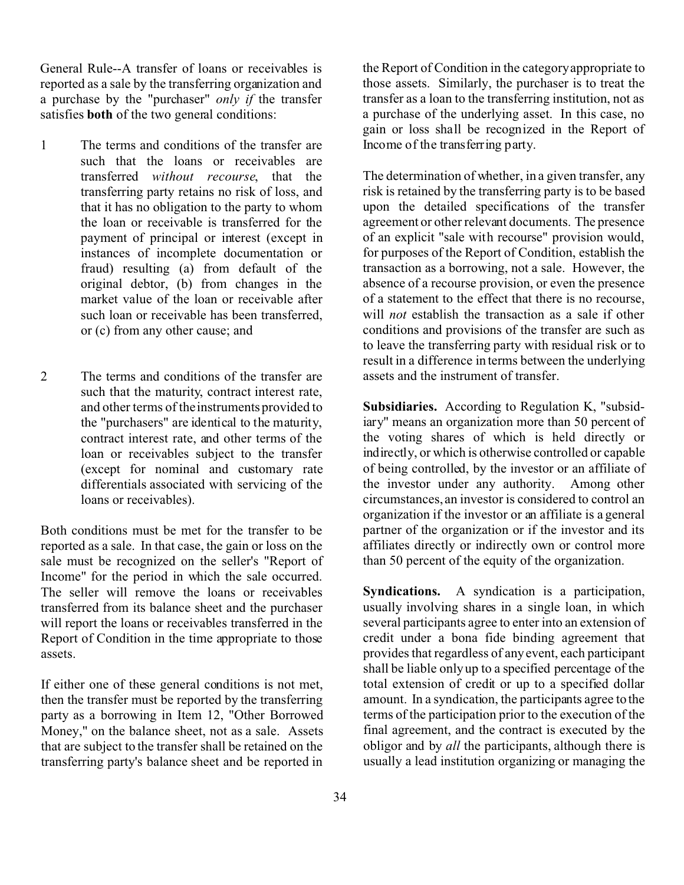General Rule--A transfer of loans or receivables is reported as a sale by the transferring organization and a purchase by the "purchaser" *only if* the transfer satisfies **both** of the two general conditions:

- 1 The terms and conditions of the transfer are such that the loans or receivables are transferred *without recourse*, that the transferring party retains no risk of loss, and that it has no obligation to the party to whom the loan or receivable is transferred for the payment of principal or interest (except in instances of incomplete documentation or fraud) resulting (a) from default of the original debtor, (b) from changes in the market value of the loan or receivable after such loan or receivable has been transferred, or (c) from any other cause; and
- 2 The terms and conditions of the transfer are such that the maturity, contract interest rate, and other terms of the instruments provided to the "purchasers" are identical to the maturity, contract interest rate, and other terms of the loan or receivables subject to the transfer (except for nominal and customary rate differentials associated with servicing of the loans or receivables).

Both conditions must be met for the transfer to be reported as a sale. In that case, the gain or loss on the sale must be recognized on the seller's "Report of Income" for the period in which the sale occurred. The seller will remove the loans or receivables transferred from its balance sheet and the purchaser will report the loans or receivables transferred in the Report of Condition in the time appropriate to those assets.

If either one of these general conditions is not met, then the transfer must be reported by the transferring party as a borrowing in Item 12, "Other Borrowed Money," on the balance sheet, not as a sale. Assets that are subject to the transfer shall be retained on the transferring party's balance sheet and be reported in the Report of Condition in the category appropriate to those assets. Similarly, the purchaser is to treat the transfer as a loan to the transferring institution, not as a purchase of the underlying asset. In this case, no gain or loss shall be recognized in the Report of Income of the transferring party.

The determination of whether, in a given transfer, any risk is retained by the transferring party is to be based upon the detailed specifications of the transfer agreement or other relevant documents. The presence of an explicit "sale with recourse" provision would, for purposes of the Report of Condition, establish the transaction as a borrowing, not a sale. However, the absence of a recourse provision, or even the presence of a statement to the effect that there is no recourse, will *not* establish the transaction as a sale if other conditions and provisions of the transfer are such as to leave the transferring party with residual risk or to result in a difference in terms between the underlying assets and the instrument of transfer.

**Subsidiaries.** According to Regulation K, "subsidiary" means an organization more than 50 percent of the voting shares of which is held directly or indirectly, or which is otherwise controlled or capable of being controlled, by the investor or an affiliate of the investor under any authority. Among other circumstances, an investor is considered to control an organization if the investor or an affiliate is a general partner of the organization or if the investor and its affiliates directly or indirectly own or control more than 50 percent of the equity of the organization.

**Syndications.** A syndication is a participation, usually involving shares in a single loan, in which several participants agree to enter into an extension of credit under a bona fide binding agreement that provides that regardless of any event, each participant shall be liable only up to a specified percentage of the total extension of credit or up to a specified dollar amount. In a syndication, the participants agree to the terms of the participation prior to the execution of the final agreement, and the contract is executed by the obligor and by *all* the participants, although there is usually a lead institution organizing or managing the